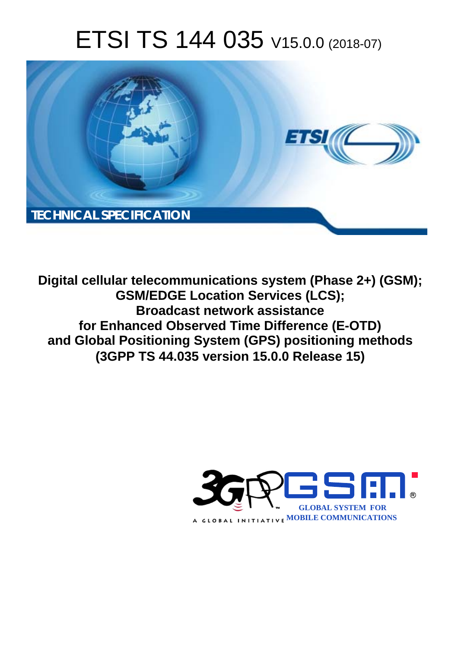# ETSI TS 144 035 V15.0.0 (2018-07)



**Digital cellular telecommunications system (Phase 2+) (GSM); GSM/EDGE Location Services (LCS); Broadcast network assistance for Enhanced Observed Time Difference (E-OTD) and Global Positioning System (GPS) positioning methods (3GPP TS 44.035 version 15.0.0 Release 15)** 

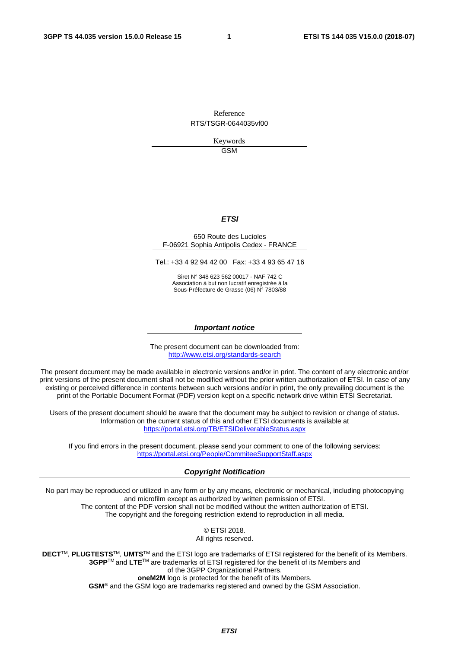Reference RTS/TSGR-0644035vf00

> Keywords GSM

### *ETSI*

#### 650 Route des Lucioles F-06921 Sophia Antipolis Cedex - FRANCE

Tel.: +33 4 92 94 42 00 Fax: +33 4 93 65 47 16

Siret N° 348 623 562 00017 - NAF 742 C Association à but non lucratif enregistrée à la Sous-Préfecture de Grasse (06) N° 7803/88

#### *Important notice*

The present document can be downloaded from: <http://www.etsi.org/standards-search>

The present document may be made available in electronic versions and/or in print. The content of any electronic and/or print versions of the present document shall not be modified without the prior written authorization of ETSI. In case of any existing or perceived difference in contents between such versions and/or in print, the only prevailing document is the print of the Portable Document Format (PDF) version kept on a specific network drive within ETSI Secretariat.

Users of the present document should be aware that the document may be subject to revision or change of status. Information on the current status of this and other ETSI documents is available at <https://portal.etsi.org/TB/ETSIDeliverableStatus.aspx>

If you find errors in the present document, please send your comment to one of the following services: <https://portal.etsi.org/People/CommiteeSupportStaff.aspx>

#### *Copyright Notification*

No part may be reproduced or utilized in any form or by any means, electronic or mechanical, including photocopying and microfilm except as authorized by written permission of ETSI. The content of the PDF version shall not be modified without the written authorization of ETSI. The copyright and the foregoing restriction extend to reproduction in all media.

> © ETSI 2018. All rights reserved.

**DECT**TM, **PLUGTESTS**TM, **UMTS**TM and the ETSI logo are trademarks of ETSI registered for the benefit of its Members. **3GPP**TM and **LTE**TM are trademarks of ETSI registered for the benefit of its Members and of the 3GPP Organizational Partners. **oneM2M** logo is protected for the benefit of its Members.

**GSM**® and the GSM logo are trademarks registered and owned by the GSM Association.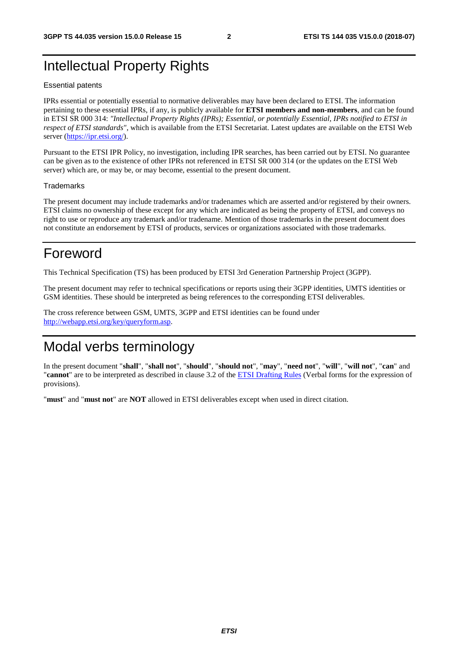# Intellectual Property Rights

#### Essential patents

IPRs essential or potentially essential to normative deliverables may have been declared to ETSI. The information pertaining to these essential IPRs, if any, is publicly available for **ETSI members and non-members**, and can be found in ETSI SR 000 314: *"Intellectual Property Rights (IPRs); Essential, or potentially Essential, IPRs notified to ETSI in respect of ETSI standards"*, which is available from the ETSI Secretariat. Latest updates are available on the ETSI Web server ([https://ipr.etsi.org/\)](https://ipr.etsi.org/).

Pursuant to the ETSI IPR Policy, no investigation, including IPR searches, has been carried out by ETSI. No guarantee can be given as to the existence of other IPRs not referenced in ETSI SR 000 314 (or the updates on the ETSI Web server) which are, or may be, or may become, essential to the present document.

#### **Trademarks**

The present document may include trademarks and/or tradenames which are asserted and/or registered by their owners. ETSI claims no ownership of these except for any which are indicated as being the property of ETSI, and conveys no right to use or reproduce any trademark and/or tradename. Mention of those trademarks in the present document does not constitute an endorsement by ETSI of products, services or organizations associated with those trademarks.

# Foreword

This Technical Specification (TS) has been produced by ETSI 3rd Generation Partnership Project (3GPP).

The present document may refer to technical specifications or reports using their 3GPP identities, UMTS identities or GSM identities. These should be interpreted as being references to the corresponding ETSI deliverables.

The cross reference between GSM, UMTS, 3GPP and ETSI identities can be found under [http://webapp.etsi.org/key/queryform.asp.](http://webapp.etsi.org/key/queryform.asp)

# Modal verbs terminology

In the present document "**shall**", "**shall not**", "**should**", "**should not**", "**may**", "**need not**", "**will**", "**will not**", "**can**" and "**cannot**" are to be interpreted as described in clause 3.2 of the [ETSI Drafting Rules](https://portal.etsi.org/Services/editHelp!/Howtostart/ETSIDraftingRules.aspx) (Verbal forms for the expression of provisions).

"**must**" and "**must not**" are **NOT** allowed in ETSI deliverables except when used in direct citation.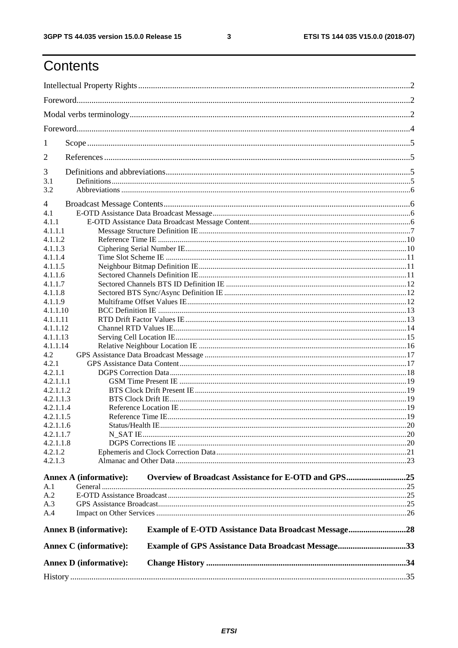$\mathbf{3}$ 

# Contents

| 1         |                               |                                                             |  |
|-----------|-------------------------------|-------------------------------------------------------------|--|
| 2         |                               |                                                             |  |
| 3         |                               |                                                             |  |
| 3.1       |                               |                                                             |  |
| 3.2       |                               |                                                             |  |
| 4         |                               |                                                             |  |
| 4.1       |                               |                                                             |  |
| 4.1.1     |                               |                                                             |  |
| 4.1.1.1   |                               |                                                             |  |
| 4.1.1.2   |                               |                                                             |  |
| 4.1.1.3   |                               |                                                             |  |
| 4.1.1.4   |                               |                                                             |  |
| 4.1.1.5   |                               |                                                             |  |
| 4.1.1.6   |                               |                                                             |  |
| 4.1.1.7   |                               |                                                             |  |
| 4.1.1.8   |                               |                                                             |  |
| 4.1.1.9   |                               |                                                             |  |
| 4.1.1.10  |                               |                                                             |  |
| 4.1.1.11  |                               |                                                             |  |
| 4.1.1.12  |                               |                                                             |  |
| 4.1.1.13  |                               |                                                             |  |
| 4.1.1.14  |                               |                                                             |  |
| 4.2       |                               |                                                             |  |
| 4.2.1     |                               |                                                             |  |
| 4.2.1.1   |                               |                                                             |  |
| 4.2.1.1.1 |                               |                                                             |  |
| 4.2.1.1.2 |                               |                                                             |  |
| 4.2.1.1.3 |                               |                                                             |  |
| 4.2.1.1.4 |                               |                                                             |  |
| 4.2.1.1.5 |                               |                                                             |  |
| 4.2.1.1.6 | Status/Health IE.             |                                                             |  |
| 4.2.1.1.7 |                               |                                                             |  |
| 4.2.1.1.8 |                               |                                                             |  |
| 4.2.1.2   |                               |                                                             |  |
| 4.2.1.3   |                               |                                                             |  |
|           |                               |                                                             |  |
|           | <b>Annex A (informative):</b> | Overview of Broadcast Assistance for E-OTD and GPS25        |  |
| A.1       |                               |                                                             |  |
| A.2       |                               |                                                             |  |
| A.3       |                               |                                                             |  |
| A.4       |                               |                                                             |  |
|           |                               |                                                             |  |
|           | <b>Annex B</b> (informative): | <b>Example of E-OTD Assistance Data Broadcast Message28</b> |  |
|           | <b>Annex C</b> (informative): | <b>Example of GPS Assistance Data Broadcast Message33</b>   |  |
|           | <b>Annex D</b> (informative): |                                                             |  |
|           |                               |                                                             |  |
|           |                               |                                                             |  |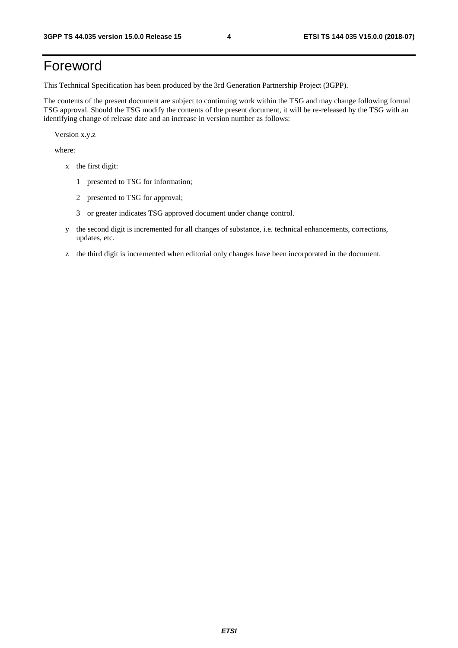# Foreword

This Technical Specification has been produced by the 3rd Generation Partnership Project (3GPP).

The contents of the present document are subject to continuing work within the TSG and may change following formal TSG approval. Should the TSG modify the contents of the present document, it will be re-released by the TSG with an identifying change of release date and an increase in version number as follows:

Version x.y.z

where:

- x the first digit:
	- 1 presented to TSG for information;
	- 2 presented to TSG for approval;
	- 3 or greater indicates TSG approved document under change control.
- y the second digit is incremented for all changes of substance, i.e. technical enhancements, corrections, updates, etc.
- z the third digit is incremented when editorial only changes have been incorporated in the document.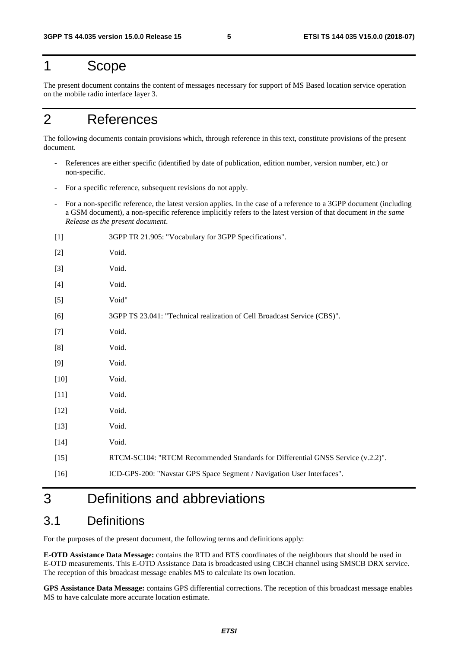# 1 Scope

The present document contains the content of messages necessary for support of MS Based location service operation on the mobile radio interface layer 3.

# 2 References

The following documents contain provisions which, through reference in this text, constitute provisions of the present document.

- References are either specific (identified by date of publication, edition number, version number, etc.) or non-specific.
- For a specific reference, subsequent revisions do not apply.
- For a non-specific reference, the latest version applies. In the case of a reference to a 3GPP document (including a GSM document), a non-specific reference implicitly refers to the latest version of that document *in the same Release as the present document*.

| $[1]$  | 3GPP TR 21.905: "Vocabulary for 3GPP Specifications".                           |
|--------|---------------------------------------------------------------------------------|
| $[2]$  | Void.                                                                           |
| $[3]$  | Void.                                                                           |
| $[4]$  | Void.                                                                           |
| $[5]$  | Void"                                                                           |
| [6]    | 3GPP TS 23.041: "Technical realization of Cell Broadcast Service (CBS)".        |
| $[7]$  | Void.                                                                           |
| [8]    | Void.                                                                           |
| [9]    | Void.                                                                           |
| $[10]$ | Void.                                                                           |
| $[11]$ | Void.                                                                           |
| $[12]$ | Void.                                                                           |
| $[13]$ | Void.                                                                           |
| $[14]$ | Void.                                                                           |
| $[15]$ | RTCM-SC104: "RTCM Recommended Standards for Differential GNSS Service (v.2.2)". |
| $[16]$ | ICD-GPS-200: "Navstar GPS Space Segment / Navigation User Interfaces".          |

# 3 Definitions and abbreviations

# 3.1 Definitions

For the purposes of the present document, the following terms and definitions apply:

**E-OTD Assistance Data Message:** contains the RTD and BTS coordinates of the neighbours that should be used in E-OTD measurements. This E-OTD Assistance Data is broadcasted using CBCH channel using SMSCB DRX service. The reception of this broadcast message enables MS to calculate its own location.

**GPS Assistance Data Message:** contains GPS differential corrections. The reception of this broadcast message enables MS to have calculate more accurate location estimate.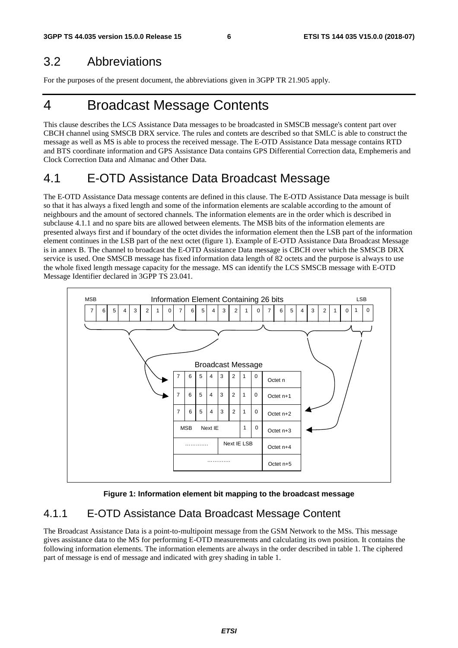# 3.2 Abbreviations

For the purposes of the present document, the abbreviations given in 3GPP TR 21.905 apply.

# 4 Broadcast Message Contents

This clause describes the LCS Assistance Data messages to be broadcasted in SMSCB message's content part over CBCH channel using SMSCB DRX service. The rules and contets are described so that SMLC is able to construct the message as well as MS is able to process the received message. The E-OTD Assistance Data message contains RTD and BTS coordinate information and GPS Assistance Data contains GPS Differential Correction data, Emphemeris and Clock Correction Data and Almanac and Other Data.

# 4.1 E-OTD Assistance Data Broadcast Message

The E-OTD Assistance Data message contents are defined in this clause. The E-OTD Assistance Data message is built so that it has always a fixed length and some of the information elements are scalable according to the amount of neighbours and the amount of sectored channels. The information elements are in the order which is described in subclause 4.1.1 and no spare bits are allowed between elements. The MSB bits of the information elements are presented always first and if boundary of the octet divides the information element then the LSB part of the information element continues in the LSB part of the next octet (figure 1). Example of E-OTD Assistance Data Broadcast Message is in annex B. The channel to broadcast the E-OTD Assistance Data message is CBCH over which the SMSCB DRX service is used. One SMSCB message has fixed information data length of 82 octets and the purpose is always to use the whole fixed length message capacity for the message. MS can identify the LCS SMSCB message with E-OTD Message Identifier declared in 3GPP TS 23.041.



**Figure 1: Information element bit mapping to the broadcast message** 

# 4.1.1 E-OTD Assistance Data Broadcast Message Content

The Broadcast Assistance Data is a point-to-multipoint message from the GSM Network to the MSs. This message gives assistance data to the MS for performing E-OTD measurements and calculating its own position. It contains the following information elements. The information elements are always in the order described in table 1. The ciphered part of message is end of message and indicated with grey shading in table 1.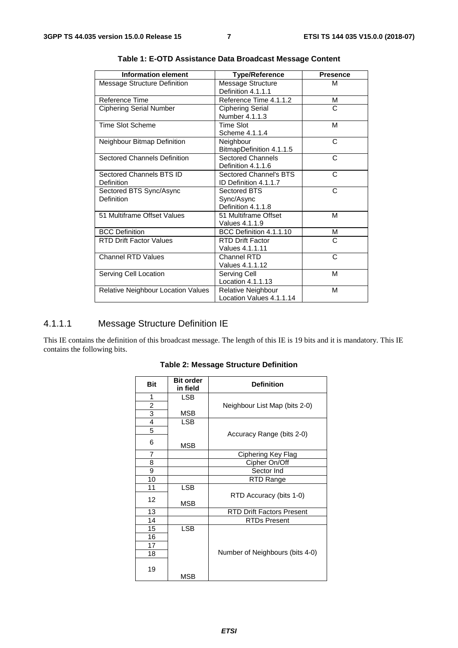| <b>Information element</b>                | <b>Type/Reference</b>                            | <b>Presence</b> |
|-------------------------------------------|--------------------------------------------------|-----------------|
| Message Structure Definition              | Message Structure<br>Definition 4.1.1.1          | м               |
| Reference Time                            | Reference Time 4.1.1.2                           | М               |
| <b>Ciphering Serial Number</b>            | <b>Ciphering Serial</b><br>Number 4.1.1.3        | C               |
| Time Slot Scheme                          | <b>Time Slot</b><br>Scheme 4.1.1.4               | M               |
| Neighbour Bitmap Definition               | Neighbour<br>BitmapDefinition 4.1.1.5            | C               |
| <b>Sectored Channels Definition</b>       | <b>Sectored Channels</b><br>Definition 4.1.1.6   | C               |
| Sectored Channels BTS ID<br>Definition    | Sectored Channel's BTS<br>ID Definition 4.1.1.7  | C               |
| Sectored BTS Sync/Async<br>Definition     | Sectored BTS<br>Sync/Async<br>Definition 4.1.1.8 | C               |
| 51 Multiframe Offset Values               | 51 Multiframe Offset<br>Values 4.1.1.9           | M               |
| <b>BCC Definition</b>                     | BCC Definition 4.1.1.10                          | М               |
| <b>RTD Drift Factor Values</b>            | <b>RTD Drift Factor</b><br>Values 4.1.1.11       | C               |
| Channel RTD Values                        | Channel RTD<br>Values 4.1.1.12                   | C               |
| Serving Cell Location                     | Serving Cell<br>Location 4.1.1.13                | M               |
| <b>Relative Neighbour Location Values</b> | Relative Neighbour<br>Location Values 4.1.1.14   | M               |

**Table 1: E-OTD Assistance Data Broadcast Message Content** 

# 4.1.1.1 Message Structure Definition IE

This IE contains the definition of this broadcast message. The length of this IE is 19 bits and it is mandatory. This IE contains the following bits.

| <b>Bit</b>     | <b>Bit order</b><br>in field | <b>Definition</b>                |  |  |
|----------------|------------------------------|----------------------------------|--|--|
| 1              | <b>LSB</b>                   |                                  |  |  |
| 2              |                              | Neighbour List Map (bits 2-0)    |  |  |
| $\overline{3}$ | <b>MSB</b>                   |                                  |  |  |
| 4              | <b>LSB</b>                   |                                  |  |  |
| 5              |                              | Accuracy Range (bits 2-0)        |  |  |
| 6              | MSB                          |                                  |  |  |
| 7              |                              | Ciphering Key Flag               |  |  |
| 8              |                              | Cipher On/Off                    |  |  |
| 9              |                              | Sector Ind                       |  |  |
| 10             |                              | RTD Range                        |  |  |
| 11             | <b>LSB</b>                   |                                  |  |  |
| 12             | MSB                          | RTD Accuracy (bits 1-0)          |  |  |
| 13             |                              | <b>RTD Drift Factors Present</b> |  |  |
| 14             |                              | <b>RTDs Present</b>              |  |  |
| 15             | <b>LSB</b>                   |                                  |  |  |
| 16             |                              |                                  |  |  |
| 17             |                              |                                  |  |  |
| 18             |                              | Number of Neighbours (bits 4-0)  |  |  |
| 19             | MSB                          |                                  |  |  |

**Table 2: Message Structure Definition**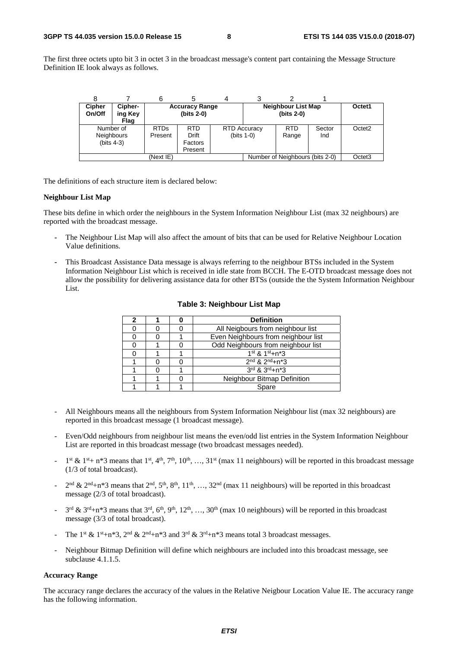The first three octets upto bit 3 in octet 3 in the broadcast message's content part containing the Message Structure Definition IE look always as follows.

| <b>Cipher</b><br>On/Off | Cipher-<br>ing Key<br>Flag | <b>Accuracy Range</b><br>$(bits 2-0)$ |            |  | <b>Neighbour List Map</b><br>$(bits 2-0)$ |                                 | Octet1 |                    |
|-------------------------|----------------------------|---------------------------------------|------------|--|-------------------------------------------|---------------------------------|--------|--------------------|
| Number of               |                            | <b>RTDs</b>                           | <b>RTD</b> |  | <b>RTD Accuracy</b>                       | <b>RTD</b>                      | Sector | Octet <sub>2</sub> |
| <b>Neighbours</b>       |                            | Present                               | Drift      |  | $(bits 1-0)$                              | Range                           | Ind    |                    |
| $(bits 4-3)$            |                            |                                       | Factors    |  |                                           |                                 |        |                    |
|                         |                            |                                       | Present    |  |                                           |                                 |        |                    |
| (Next IE)               |                            |                                       |            |  |                                           | Number of Neighbours (bits 2-0) |        | Octet <sub>3</sub> |

The definitions of each structure item is declared below:

#### **Neighbour List Map**

These bits define in which order the neighbours in the System Information Neighbour List (max 32 neighbours) are reported with the broadcast message.

- The Neighbour List Map will also affect the amount of bits that can be used for Relative Neighbour Location Value definitions.
- This Broadcast Assistance Data message is always referring to the neighbour BTSs included in the System Information Neighbour List which is received in idle state from BCCH. The E-OTD broadcast message does not allow the possibility for delivering assistance data for other BTSs (outside the the System Information Neighbour List.

|  | <b>Definition</b>                   |  |  |  |
|--|-------------------------------------|--|--|--|
|  | All Neigbours from neighbour list   |  |  |  |
|  | Even Neighbours from neighbour list |  |  |  |
|  | Odd Neighbours from neighbour list  |  |  |  |
|  | $1^{st}$ & $1^{st}+n^{*}3$          |  |  |  |
|  | $2^{nd}$ & $2^{nd}+n*3$             |  |  |  |
|  | $3^{rd}$ & $3^{rd}+n*3$             |  |  |  |
|  | Neighbour Bitmap Definition         |  |  |  |
|  | Spare                               |  |  |  |

#### **Table 3: Neighbour List Map**

- All Neighbours means all the neighbours from System Information Neighbour list (max 32 neighbours) are reported in this broadcast message (1 broadcast message).
- Even/Odd neighbours from neighbour list means the even/odd list entries in the System Information Neighbour List are reported in this broadcast message (two broadcast messages needed).
- $1^{st}$  &  $1^{st}$ + n\*3 means that  $1^{st}$ ,  $4^{th}$ ,  $7^{th}$ ,  $10^{th}$ , …,  $31^{st}$  (max 11 neighbours) will be reported in this broadcast message (1/3 of total broadcast).
- $2<sup>nd</sup>$  &  $2<sup>nd</sup>+n*3$  means that  $2<sup>nd</sup>$ ,  $5<sup>th</sup>$ ,  $8<sup>th</sup>$ ,  $11<sup>th</sup>$ , …,  $32<sup>nd</sup>$  (max 11 neighbours) will be reported in this broadcast message (2/3 of total broadcast).
- $3^{\text{rd}}$  &  $3^{\text{rd}}+n*3$  means that  $3^{\text{rd}}$ ,  $6^{\text{th}}$ ,  $9^{\text{th}}$ ,  $12^{\text{th}}$ , …,  $30^{\text{th}}$  (max 10 neighbours) will be reported in this broadcast message (3/3 of total broadcast).
- The 1<sup>st</sup> & 1<sup>st</sup>+n\*3, 2<sup>nd</sup> & 2<sup>nd</sup>+n\*3 and 3<sup>rd</sup> & 3<sup>rd</sup>+n\*3 means total 3 broadcast messages.
- Neighbour Bitmap Definition will define which neighbours are included into this broadcast message, see subclause 4.1.1.5.

#### **Accuracy Range**

The accuracy range declares the accuracy of the values in the Relative Neigbour Location Value IE. The accuracy range has the following information.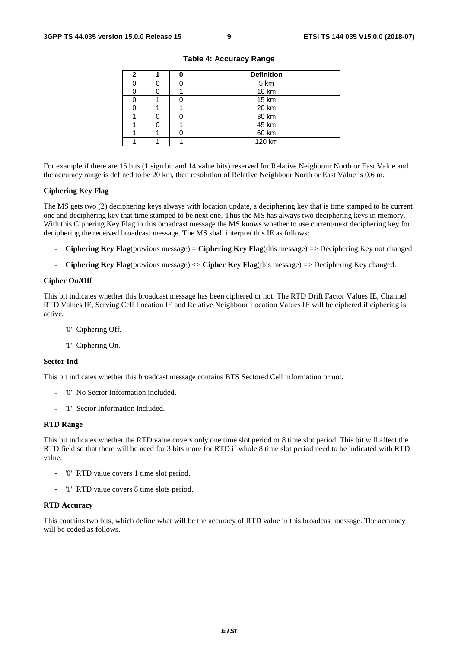| 2 |  | <b>Definition</b> |
|---|--|-------------------|
|   |  | 5 km              |
|   |  | 10 km             |
|   |  | 15 km             |
|   |  | 20 km             |
|   |  | 30 km             |
|   |  | 45 km             |
|   |  | 60 km             |
|   |  | 120 km            |

#### **Table 4: Accuracy Range**

For example if there are 15 bits (1 sign bit and 14 value bits) reserved for Relative Neighbour North or East Value and the accuracy range is defined to be 20 km, then resolution of Relative Neighbour North or East Value is 0.6 m.

#### **Ciphering Key Flag**

The MS gets two (2) deciphering keys always with location update, a deciphering key that is time stamped to be current one and deciphering key that time stamped to be next one. Thus the MS has always two deciphering keys in memory. With this Ciphering Key Flag in this broadcast message the MS knows whether to use current/next deciphering key for deciphering the received broadcast message. The MS shall interpret this IE as follows:

- **Ciphering Key Flag**(previous message) = **Ciphering Key Flag**(this message) => Deciphering Key not changed.
- **Ciphering Key Flag**(previous message) <> **Cipher Key Flag**(this message) => Deciphering Key changed.

#### **Cipher On/Off**

This bit indicates whether this broadcast message has been ciphered or not. The RTD Drift Factor Values IE, Channel RTD Values IE, Serving Cell Location IE and Relative Neighbour Location Values IE will be ciphered if ciphering is active.

- '0' Ciphering Off.
- '1' Ciphering On.

#### **Sector Ind**

This bit indicates whether this broadcast message contains BTS Sectored Cell information or not.

- '0' No Sector Information included.
- '1' Sector Information included.

#### **RTD Range**

This bit indicates whether the RTD value covers only one time slot period or 8 time slot period. This bit will affect the RTD field so that there will be need for 3 bits more for RTD if whole 8 time slot period need to be indicated with RTD value.

- '0' RTD value covers 1 time slot period.
- '1' RTD value covers 8 time slots period.

#### **RTD Accuracy**

This contains two bits, which define what will be the accuracy of RTD value in this broadcast message. The accuracy will be coded as follows.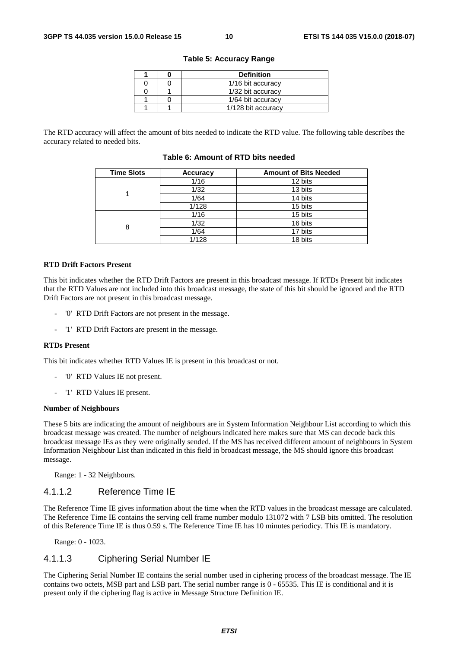|  | <b>Definition</b>  |  |  |  |  |  |
|--|--------------------|--|--|--|--|--|
|  | 1/16 bit accuracy  |  |  |  |  |  |
|  | 1/32 bit accuracy  |  |  |  |  |  |
|  | 1/64 bit accuracy  |  |  |  |  |  |
|  | 1/128 bit accuracy |  |  |  |  |  |

**Table 5: Accuracy Range** 

The RTD accuracy will affect the amount of bits needed to indicate the RTD value. The following table describes the accuracy related to needed bits.

| <b>Time Slots</b> | <b>Accuracy</b> | <b>Amount of Bits Needed</b> |
|-------------------|-----------------|------------------------------|
|                   | 1/16            | 12 bits                      |
|                   | 1/32            | 13 bits                      |
|                   | 1/64            | 14 bits                      |
|                   | 1/128           | 15 bits                      |
|                   | 1/16            | 15 bits                      |
|                   | 1/32            | 16 bits                      |
| 8                 | 1/64            | 17 bits                      |
|                   | 1/128           | 18 bits                      |

**Table 6: Amount of RTD bits needed** 

#### **RTD Drift Factors Present**

This bit indicates whether the RTD Drift Factors are present in this broadcast message. If RTDs Present bit indicates that the RTD Values are not included into this broadcast message, the state of this bit should be ignored and the RTD Drift Factors are not present in this broadcast message.

- '0' RTD Drift Factors are not present in the message.
- '1' RTD Drift Factors are present in the message.

#### **RTDs Present**

This bit indicates whether RTD Values IE is present in this broadcast or not.

- '0' RTD Values IE not present.
- '1' RTD Values IE present.

#### **Number of Neighbours**

These 5 bits are indicating the amount of neighbours are in System Information Neighbour List according to which this broadcast message was created. The number of neigbours indicated here makes sure that MS can decode back this broadcast message IEs as they were originally sended. If the MS has received different amount of neighbours in System Information Neighbour List than indicated in this field in broadcast message, the MS should ignore this broadcast message.

Range: 1 - 32 Neighbours.

## 4.1.1.2 Reference Time IE

The Reference Time IE gives information about the time when the RTD values in the broadcast message are calculated. The Reference Time IE contains the serving cell frame number modulo 131072 with 7 LSB bits omitted. The resolution of this Reference Time IE is thus 0.59 s. The Reference Time IE has 10 minutes periodicy. This IE is mandatory.

Range: 0 - 1023.

#### 4.1.1.3 Ciphering Serial Number IE

The Ciphering Serial Number IE contains the serial number used in ciphering process of the broadcast message. The IE contains two octets, MSB part and LSB part. The serial number range is 0 - 65535. This IE is conditional and it is present only if the ciphering flag is active in Message Structure Definition IE.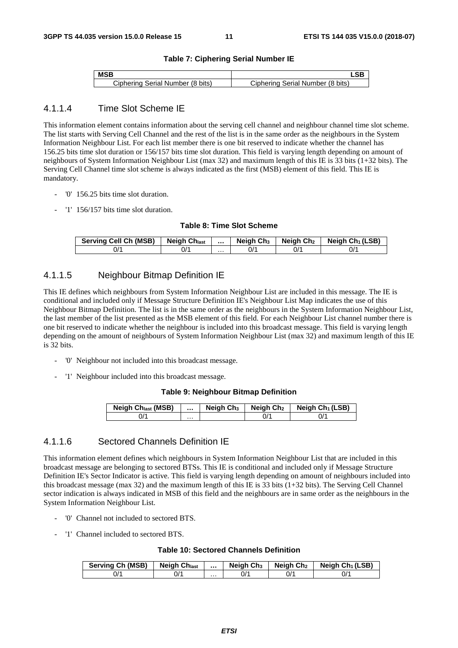#### **Table 7: Ciphering Serial Number IE**

| <b>MSB</b>                       |                                  |
|----------------------------------|----------------------------------|
| Ciphering Serial Number (8 bits) | Ciphering Serial Number (8 bits) |

# 4.1.1.4 Time Slot Scheme IE

This information element contains information about the serving cell channel and neighbour channel time slot scheme. The list starts with Serving Cell Channel and the rest of the list is in the same order as the neighbours in the System Information Neighbour List. For each list member there is one bit reserved to indicate whether the channel has 156.25 bits time slot duration or 156/157 bits time slot duration. This field is varying length depending on amount of neighbours of System Information Neighbour List (max 32) and maximum length of this IE is 33 bits (1+32 bits). The Serving Cell Channel time slot scheme is always indicated as the first (MSB) element of this field. This IE is mandatory.

- '0' 156.25 bits time slot duration.
- '1' 156/157 bits time slot duration.

#### **Table 8: Time Slot Scheme**

| <b>Serving Cell Ch (MSB)</b> | <b>Neigh Chlast</b> |   | Neigh Ch <sub>3</sub> | Neigh Ch <sub>2</sub> | Neigh Ch <sub>1</sub> (LSB) |
|------------------------------|---------------------|---|-----------------------|-----------------------|-----------------------------|
| 1/`                          | 0/                  | . | 10                    | 0/1                   | 0/'                         |

# 4.1.1.5 Neighbour Bitmap Definition IE

This IE defines which neighbours from System Information Neighbour List are included in this message. The IE is conditional and included only if Message Structure Definition IE's Neighbour List Map indicates the use of this Neighbour Bitmap Definition. The list is in the same order as the neighbours in the System Information Neighbour List, the last member of the list presented as the MSB element of this field. For each Neighbour List channel number there is one bit reserved to indicate whether the neighbour is included into this broadcast message. This field is varying length depending on the amount of neighbours of System Information Neighbour List (max 32) and maximum length of this IE is 32 bits.

- '0' Neighbour not included into this broadcast message.
- '1' Neighbour included into this broadcast message.

#### **Table 9: Neighbour Bitmap Definition**

| <b>Neigh Ch<sub>last</sub></b> (MSB) |   | Neigh Ch <sub>3</sub> | Neigh Ch2 | Neigh $Ch_1(LSB)$ |
|--------------------------------------|---|-----------------------|-----------|-------------------|
| v,                                   | . |                       | 0/        | υı                |

### 4.1.1.6 Sectored Channels Definition IE

This information element defines which neighbours in System Information Neighbour List that are included in this broadcast message are belonging to sectored BTSs. This IE is conditional and included only if Message Structure Definition IE's Sector Indicator is active. This field is varying length depending on amount of neighbours included into this broadcast message (max 32) and the maximum length of this IE is 33 bits (1+32 bits). The Serving Cell Channel sector indication is always indicated in MSB of this field and the neighbours are in same order as the neighbours in the System Information Neighbour List.

- '0' Channel not included to sectored BTS.
- '1' Channel included to sectored BTS.

#### **Table 10: Sectored Channels Definition**

| Serving Ch (MSB) | <b>Neigh Chlast</b> |   | Neigh Ch <sub>3</sub> | Neiah Ch2 | Neigh $Ch_1(LSB)$ |
|------------------|---------------------|---|-----------------------|-----------|-------------------|
|                  | 0/1                 | . | 0/                    | 0/        | 0/1               |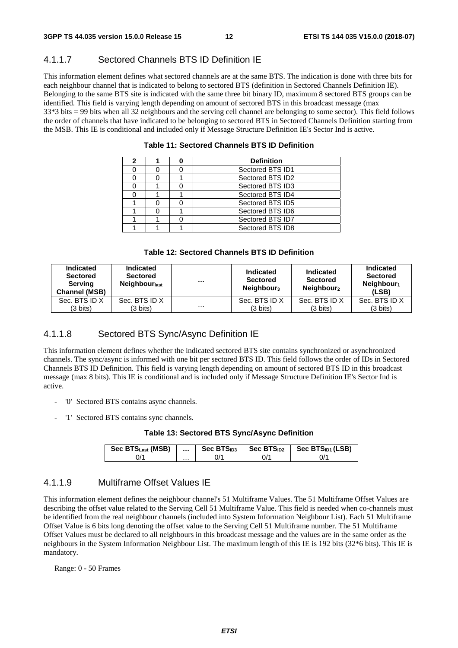# 4.1.1.7 Sectored Channels BTS ID Definition IE

This information element defines what sectored channels are at the same BTS. The indication is done with three bits for each neighbour channel that is indicated to belong to sectored BTS (definition in Sectored Channels Definition IE). Belonging to the same BTS site is indicated with the same three bit binary ID, maximum 8 sectored BTS groups can be identified. This field is varying length depending on amount of sectored BTS in this broadcast message (max 33\*3 bits = 99 bits when all 32 neighbours and the serving cell channel are belonging to some sector). This field follows the order of channels that have indicated to be belonging to sectored BTS in Sectored Channels Definition starting from the MSB. This IE is conditional and included only if Message Structure Definition IE's Sector Ind is active.

|  | <b>Definition</b> |  |
|--|-------------------|--|
|  | Sectored BTS ID1  |  |
|  | Sectored BTS ID2  |  |
|  | Sectored BTS ID3  |  |
|  | Sectored BTS ID4  |  |
|  | Sectored BTS ID5  |  |
|  | Sectored BTS ID6  |  |
|  | Sectored BTS ID7  |  |
|  | Sectored BTS ID8  |  |

**Table 11: Sectored Channels BTS ID Definition** 

|  | <b>Table 12: Sectored Channels BTS ID Definition</b> |
|--|------------------------------------------------------|
|--|------------------------------------------------------|

| Indicated<br><b>Sectored</b><br>Serving<br><b>Channel (MSB)</b> | Indicated<br><b>Sectored</b><br><b>Neighbour</b> last |          | <b>Indicated</b><br><b>Sectored</b><br>Neighbour <sub>3</sub> | Indicated<br><b>Sectored</b><br>Neighbour <sub>2</sub> | Indicated<br><b>Sectored</b><br>Neighbour <sub>1</sub><br>(LSB) |
|-----------------------------------------------------------------|-------------------------------------------------------|----------|---------------------------------------------------------------|--------------------------------------------------------|-----------------------------------------------------------------|
| Sec. BTS ID X                                                   | Sec. BTS ID X                                         | $\cdots$ | Sec. BTS ID X                                                 | Sec. BTS ID X                                          | Sec. BTS ID X                                                   |
| $(3 \text{ bits})$                                              | (3 bits)                                              |          | (3 bits)                                                      | $(3 \text{ bits})$                                     | (3 bits)                                                        |

### 4.1.1.8 Sectored BTS Sync/Async Definition IE

This information element defines whether the indicated sectored BTS site contains synchronized or asynchronized channels. The sync/async is informed with one bit per sectored BTS ID. This field follows the order of IDs in Sectored Channels BTS ID Definition. This field is varying length depending on amount of sectored BTS ID in this broadcast message (max 8 bits). This IE is conditional and is included only if Message Structure Definition IE's Sector Ind is active.

- '0' Sectored BTS contains async channels.
- '1' Sectored BTS contains sync channels.

**Table 13: Sectored BTS Sync/Async Definition** 

| Sec BTS <sub>Last</sub> (MSB) | $\cdots$ | Sec BTS <sub>ID3</sub> | Sec BTS <sub>ID2</sub> | Sec BTS <sub>ID1</sub> (LSB) |
|-------------------------------|----------|------------------------|------------------------|------------------------------|
|                               | .        |                        |                        |                              |

# 4.1.1.9 Multiframe Offset Values IE

This information element defines the neighbour channel's 51 Multiframe Values. The 51 Multiframe Offset Values are describing the offset value related to the Serving Cell 51 Multiframe Value. This field is needed when co-channels must be identified from the real neighbour channels (included into System Information Neighbour List). Each 51 Multiframe Offset Value is 6 bits long denoting the offset value to the Serving Cell 51 Multiframe number. The 51 Multiframe Offset Values must be declared to all neighbours in this broadcast message and the values are in the same order as the neighbours in the System Information Neighbour List. The maximum length of this IE is 192 bits (32\*6 bits). This IE is mandatory.

Range: 0 - 50 Frames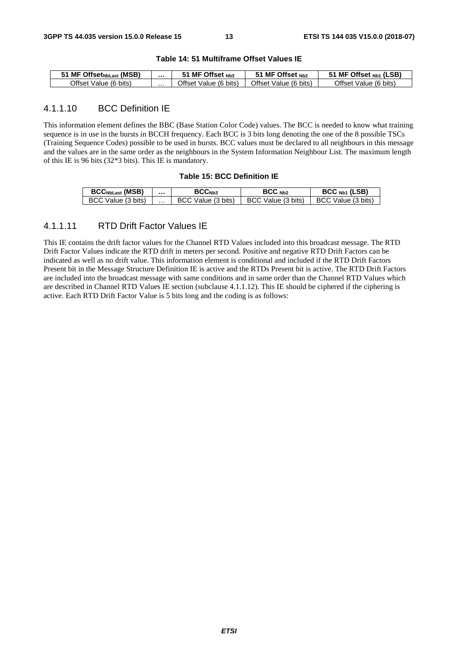### **Table 14: 51 Multiframe Offset Values IE**

| MF Offset <sub>NbLast</sub> (MSB) |   | Offset Nb3<br>MF              | MF Offset Nb2                   | <sup>-</sup> Offset <sub>Nb1</sub> (LSB)<br>51 MF |
|-----------------------------------|---|-------------------------------|---------------------------------|---------------------------------------------------|
| Offset Value (6 bits)             | . | \ Offset<br>bits)<br>Value (6 | <b>Offset</b><br>Value (6 bits) | Offset Value (6 bits)                             |

## 4.1.1.10 BCC Definition IE

This information element defines the BBC (Base Station Color Code) values. The BCC is needed to know what training sequence is in use in the bursts in BCCH frequency. Each BCC is 3 bits long denoting the one of the 8 possible TSCs (Training Sequence Codes) possible to be used in bursts. BCC values must be declared to all neighbours in this message and the values are in the same order as the neighbours in the System Information Neighbour List. The maximum length of this IE is 96 bits (32\*3 bits). This IE is mandatory.

#### **Table 15: BCC Definition IE**

| <b>BCCNbLast (MSB)</b> |   | <b>BUCNb3</b>  | $BCC$ <sub>Nb2</sub> | $BCC_{Nb1}$ (LSB) |
|------------------------|---|----------------|----------------------|-------------------|
| ์ Value (3 bits)       | . | Value (3 bits) | Value (3 bits)       | Value (3 bits)    |
| <b>BCC</b>             |   | BC             | BCC                  | -BC)              |

### 4.1.1.11 RTD Drift Factor Values IE

This IE contains the drift factor values for the Channel RTD Values included into this broadcast message. The RTD Drift Factor Values indicate the RTD drift in meters per second. Positive and negative RTD Drift Factors can be indicated as well as no drift value. This information element is conditional and included if the RTD Drift Factors Present bit in the Message Structure Definition IE is active and the RTDs Present bit is active. The RTD Drift Factors are included into the broadcast message with same conditions and in same order than the Channel RTD Values which are described in Channel RTD Values IE section (subclause 4.1.1.12). This IE should be ciphered if the ciphering is active. Each RTD Drift Factor Value is 5 bits long and the coding is as follows: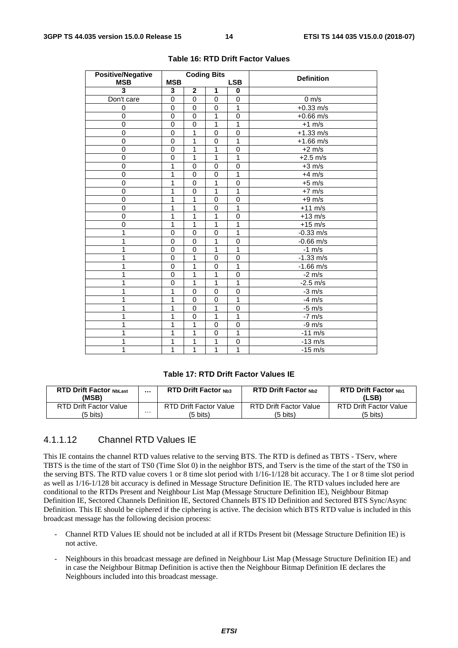| <b>Positive/Negative</b> | <b>Coding Bits</b> |                |                |                |                   |
|--------------------------|--------------------|----------------|----------------|----------------|-------------------|
| <b>MSB</b>               | <b>MSB</b>         |                |                | <b>LSB</b>     | <b>Definition</b> |
| $\overline{\mathbf{3}}$  | 3                  | $\mathbf 2$    | 1              | 0              |                   |
| Don't care               | 0                  | 0              | $\mathbf 0$    | $\mathbf 0$    | $0 \text{ m/s}$   |
| 0                        | $\mathbf 0$        | 0              | $\mathbf 0$    | 1              | $+0.33$ m/s       |
| $\mathbf 0$              | 0                  | 0              | 1              | $\mathbf 0$    | $+0.66$ m/s       |
| 0                        | $\mathbf 0$        | $\mathbf 0$    | 1              | 1              | $+1$ m/s          |
| $\mathbf 0$              | $\mathbf 0$        | $\overline{1}$ | 0              | 0              | $+1.33$ m/s       |
| $\mathsf 0$              | 0                  | $\overline{1}$ | $\mathbf 0$    | 1              | $+1.66$ m/s       |
| $\overline{0}$           | $\mathbf 0$        | $\overline{1}$ | 1              | $\mathbf 0$    | $+2$ m/s          |
| $\overline{0}$           | $\mathbf 0$        | 1              | 1              | 1              | $+2.5$ m/s        |
| $\mathsf 0$              | 1                  | 0              | $\mathbf 0$    | $\mathbf 0$    | $+3$ m/s          |
| 0                        | 1                  | 0              | $\mathbf 0$    | 1              | $+4$ m/s          |
| $\mathbf 0$              | 1                  | 0              | 1              | $\mathbf 0$    | $+5$ m/s          |
| 0                        | 1                  | 0              | 1              | 1              | $+7$ m/s          |
| $\mathbf 0$              | 1                  | 1              | $\mathbf 0$    | $\mathbf 0$    | $+9$ m/s          |
| $\mathsf 0$              | 1                  | 1              | $\mathbf 0$    | 1              | $+11$ m/s         |
| $\mathsf 0$              | 1                  | 1              | 1              | 0              | $+13$ m/s         |
| 0                        | 1                  | 1              | 1              | 1              | $+15$ m/s         |
| 1                        | $\mathbf 0$        | 0              | $\mathbf 0$    | 1              | $-0.33$ m/s       |
| 1                        | $\mathbf 0$        | $\mathbf 0$    | 1              | $\mathbf 0$    | $-0.66$ m/s       |
| 1                        | 0                  | $\pmb{0}$      | 1              | $\overline{1}$ | $-1$ m/s          |
|                          | 0                  | 1              | $\mathbf 0$    | $\mathbf 0$    | $-1.33$ m/s       |
| 1                        | $\mathbf 0$        | 1              | $\mathbf 0$    | 1              | $-1.66$ m/s       |
| 1                        | $\mathbf 0$        | 1              | 1              | $\mathbf 0$    | $-2$ m/s          |
| 1                        | 0                  | 1              | 1              | 1              | $-2.5$ m/s        |
| 1                        | 1                  | 0              | $\mathbf 0$    | 0              | $-3$ m/s          |
| 1                        | $\overline{1}$     | $\overline{0}$ | $\overline{0}$ | 1              | $-4$ m/s          |
|                          | 1                  | 0              | 1              | 0              | $-5$ m/s          |
| 1                        | 1                  | 0              | 1              | 1              | $-7$ m/s          |
| 1                        | 1                  | 1              | $\mathbf 0$    | $\mathbf 0$    | $-9$ m/s          |
| 1                        | 1                  | $\overline{1}$ | $\overline{0}$ | $\overline{1}$ | $-11$ m/s         |
| 1                        | 1                  | 1              | 1              | $\mathbf 0$    | $-13$ m/s         |
| 1                        | 1                  | 1              | 1              | 1              | $-15$ m/s         |

#### **Table 16: RTD Drift Factor Values**

#### **Table 17: RTD Drift Factor Values IE**

| <b>RTD Drift Factor NbLast</b><br>(MSB) |          | <b>RTD Drift Factor Nb3</b> | <b>RTD Drift Factor Nh2</b>   | <b>RTD Drift Factor Nb1</b><br>(LSB) |
|-----------------------------------------|----------|-----------------------------|-------------------------------|--------------------------------------|
| RTD Drift Factor Value                  | $\cdots$ | RTD Drift Factor Value      | <b>RTD Drift Factor Value</b> | RTD Drift Factor Value               |
| (5 bits)                                |          | 5 bits)                     | (5 bits)                      | (5 bits)                             |

# 4.1.1.12 Channel RTD Values IE

This IE contains the channel RTD values relative to the serving BTS. The RTD is defined as TBTS - TServ, where TBTS is the time of the start of TS0 (Time Slot 0) in the neighbor BTS, and Tserv is the time of the start of the TS0 in the serving BTS. The RTD value covers 1 or 8 time slot period with 1/16-1/128 bit accuracy. The 1 or 8 time slot period as well as 1/16-1/128 bit accuracy is defined in Message Structure Definition IE. The RTD values included here are conditional to the RTDs Present and Neighbour List Map (Message Structure Definition IE), Neighbour Bitmap Definition IE, Sectored Channels Definition IE, Sectored Channels BTS ID Definition and Sectored BTS Sync/Async Definition. This IE should be ciphered if the ciphering is active. The decision which BTS RTD value is included in this broadcast message has the following decision process:

- Channel RTD Values IE should not be included at all if RTDs Present bit (Message Structure Definition IE) is not active.
- Neighbours in this broadcast message are defined in Neighbour List Map (Message Structure Definition IE) and in case the Neighbour Bitmap Definition is active then the Neighbour Bitmap Definition IE declares the Neighbours included into this broadcast message.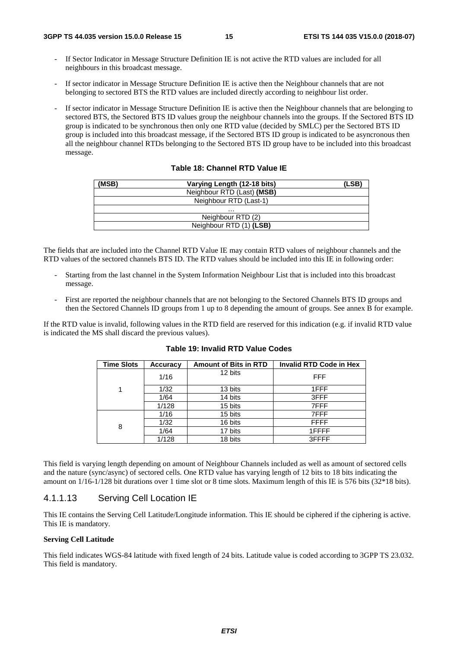- If Sector Indicator in Message Structure Definition IE is not active the RTD values are included for all neighbours in this broadcast message.
- If sector indicator in Message Structure Definition IE is active then the Neighbour channels that are not belonging to sectored BTS the RTD values are included directly according to neighbour list order.
- If sector indicator in Message Structure Definition IE is active then the Neighbour channels that are belonging to sectored BTS, the Sectored BTS ID values group the neighbour channels into the groups. If the Sectored BTS ID group is indicated to be synchronous then only one RTD value (decided by SMLC) per the Sectored BTS ID group is included into this broadcast message, if the Sectored BTS ID group is indicated to be asyncronous then all the neighbour channel RTDs belonging to the Sectored BTS ID group have to be included into this broadcast message.

| Table 18: Channel RTD Value IE |  |  |
|--------------------------------|--|--|
|--------------------------------|--|--|

| (MSB) | Varying Length (12-18 bits) | (LSB) |
|-------|-----------------------------|-------|
|       | Neighbour RTD (Last) (MSB)  |       |
|       | Neighbour RTD (Last-1)      |       |
|       | .                           |       |
|       | Neighbour RTD (2)           |       |
|       | Neighbour RTD (1) (LSB)     |       |

The fields that are included into the Channel RTD Value IE may contain RTD values of neighbour channels and the RTD values of the sectored channels BTS ID. The RTD values should be included into this IE in following order:

- Starting from the last channel in the System Information Neighbour List that is included into this broadcast message.
- First are reported the neighbour channels that are not belonging to the Sectored Channels BTS ID groups and then the Sectored Channels ID groups from 1 up to 8 depending the amount of groups. See annex B for example.

If the RTD value is invalid, following values in the RTD field are reserved for this indication (e.g. if invalid RTD value is indicated the MS shall discard the previous values).

| <b>Time Slots</b> | <b>Accuracy</b> | <b>Amount of Bits in RTD</b> | Invalid RTD Code in Hex |
|-------------------|-----------------|------------------------------|-------------------------|
|                   | 1/16            | 12 bits                      | <b>FFF</b>              |
|                   | 1/32            | 13 bits                      | 1FFF                    |
|                   | 1/64            | 14 bits                      | 3FFF                    |
|                   | 1/128           | 15 bits                      | 7FFF                    |
|                   | 1/16            | 15 bits                      | 7FFF                    |
| 8                 | 1/32            | 16 bits                      | <b>FFFF</b>             |
|                   | 1/64            | 17 bits                      | 1FFFF                   |
|                   | 1/128           | 18 bits                      | 3FFFF                   |

#### **Table 19: Invalid RTD Value Codes**

This field is varying length depending on amount of Neighbour Channels included as well as amount of sectored cells and the nature (sync/async) of sectored cells. One RTD value has varying length of 12 bits to 18 bits indicating the amount on 1/16-1/128 bit durations over 1 time slot or 8 time slots. Maximum length of this IE is 576 bits (32\*18 bits).

### 4.1.1.13 Serving Cell Location IE

This IE contains the Serving Cell Latitude/Longitude information. This IE should be ciphered if the ciphering is active. This IE is mandatory.

#### **Serving Cell Latitude**

This field indicates WGS-84 latitude with fixed length of 24 bits. Latitude value is coded according to 3GPP TS 23.032. This field is mandatory.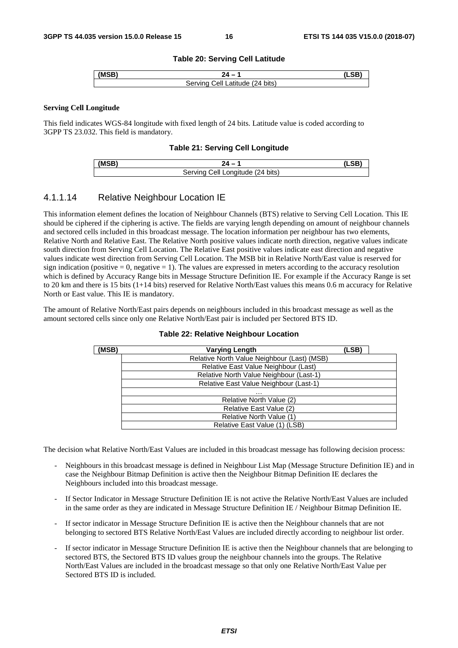#### **Table 20: Serving Cell Latitude**

| (MSB) |                                      |  |
|-------|--------------------------------------|--|
|       | Cell Latitude (24 bits)<br>Serving ( |  |

#### **Serving Cell Longitude**

This field indicates WGS-84 longitude with fixed length of 24 bits. Latitude value is coded according to 3GPP TS 23.032. This field is mandatory.

#### **Table 21: Serving Cell Longitude**

| (MSB) |                                  |  |
|-------|----------------------------------|--|
|       | Serving Cell Longitude (24 bits) |  |

# 4.1.1.14 Relative Neighbour Location IE

This information element defines the location of Neighbour Channels (BTS) relative to Serving Cell Location. This IE should be ciphered if the ciphering is active. The fields are varying length depending on amount of neighbour channels and sectored cells included in this broadcast message. The location information per neighbour has two elements, Relative North and Relative East. The Relative North positive values indicate north direction, negative values indicate south direction from Serving Cell Location. The Relative East positive values indicate east direction and negative values indicate west direction from Serving Cell Location. The MSB bit in Relative North/East value is reserved for sign indication (positive  $= 0$ , negative  $= 1$ ). The values are expressed in meters according to the accuracy resolution which is defined by Accuracy Range bits in Message Structure Definition IE. For example if the Accuracy Range is set to 20 km and there is 15 bits (1+14 bits) reserved for Relative North/East values this means 0.6 m accuracy for Relative North or East value. This IE is mandatory.

The amount of Relative North/East pairs depends on neighbours included in this broadcast message as well as the amount sectored cells since only one Relative North/East pair is included per Sectored BTS ID.

| (MSB)                         | (LSB)                                       |  |  |  |  |  |  |
|-------------------------------|---------------------------------------------|--|--|--|--|--|--|
|                               | Relative North Value Neighbour (Last) (MSB) |  |  |  |  |  |  |
|                               | Relative East Value Neighbour (Last)        |  |  |  |  |  |  |
|                               | Relative North Value Neighbour (Last-1)     |  |  |  |  |  |  |
|                               | Relative East Value Neighbour (Last-1)      |  |  |  |  |  |  |
| .<br>Relative North Value (2) |                                             |  |  |  |  |  |  |
|                               |                                             |  |  |  |  |  |  |
|                               | Relative North Value (1)                    |  |  |  |  |  |  |
|                               | Relative East Value (1) (LSB)               |  |  |  |  |  |  |

#### **Table 22: Relative Neighbour Location**

The decision what Relative North/East Values are included in this broadcast message has following decision process:

- Neighbours in this broadcast message is defined in Neighbour List Map (Message Structure Definition IE) and in case the Neighbour Bitmap Definition is active then the Neighbour Bitmap Definition IE declares the Neighbours included into this broadcast message.
- If Sector Indicator in Message Structure Definition IE is not active the Relative North/East Values are included in the same order as they are indicated in Message Structure Definition IE / Neighbour Bitmap Definition IE.
- If sector indicator in Message Structure Definition IE is active then the Neighbour channels that are not belonging to sectored BTS Relative North/East Values are included directly according to neighbour list order.
- If sector indicator in Message Structure Definition IE is active then the Neighbour channels that are belonging to sectored BTS, the Sectored BTS ID values group the neighbour channels into the groups. The Relative North/East Values are included in the broadcast message so that only one Relative North/East Value per Sectored BTS ID is included.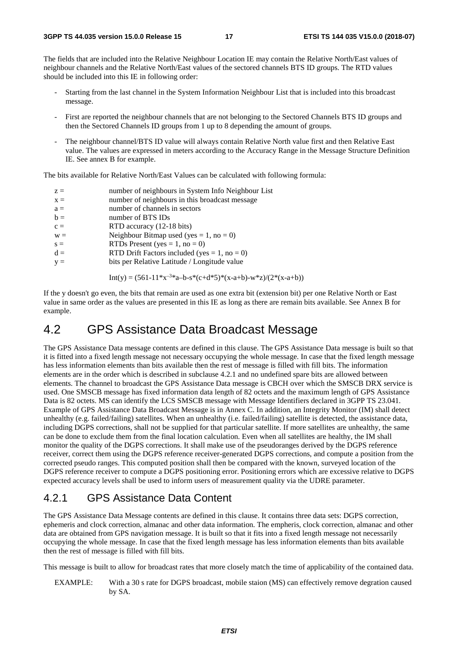The fields that are included into the Relative Neighbour Location IE may contain the Relative North/East values of neighbour channels and the Relative North/East values of the sectored channels BTS ID groups. The RTD values should be included into this IE in following order:

- Starting from the last channel in the System Information Neighbour List that is included into this broadcast message.
- First are reported the neighbour channels that are not belonging to the Sectored Channels BTS ID groups and then the Sectored Channels ID groups from 1 up to 8 depending the amount of groups.
- The neighbour channel/BTS ID value will always contain Relative North value first and then Relative East value. The values are expressed in meters according to the Accuracy Range in the Message Structure Definition IE. See annex B for example.

The bits available for Relative North/East Values can be calculated with following formula:

| $z =$ | number of neighbours in System Info Neighbour List              |
|-------|-----------------------------------------------------------------|
| $x =$ | number of neighbours in this broadcast message                  |
| $a =$ | number of channels in sectors                                   |
| $b =$ | number of BTS IDs                                               |
| $c =$ | RTD accuracy (12-18 bits)                                       |
| $W =$ | Neighbour Bitmap used (yes = 1, no = 0)                         |
| $s =$ | RTDs Present (yes = 1, no = 0)                                  |
| $d =$ | RTD Drift Factors included (yes = 1, no = 0)                    |
| $y =$ | bits per Relative Latitude / Longitude value                    |
|       | $Int(y) = (561-11*x^{-3}a-b-s*(c+d*5)*(x-a+b)-w*z)/(2*(x-a+b))$ |

If the y doesn't go even, the bits that remain are used as one extra bit (extension bit) per one Relative North or East value in same order as the values are presented in this IE as long as there are remain bits available. See Annex B for example.

# 4.2 GPS Assistance Data Broadcast Message

The GPS Assistance Data message contents are defined in this clause. The GPS Assistance Data message is built so that it is fitted into a fixed length message not necessary occupying the whole message. In case that the fixed length message has less information elements than bits available then the rest of message is filled with fill bits. The information elements are in the order which is described in subclause 4.2.1 and no undefined spare bits are allowed between elements. The channel to broadcast the GPS Assistance Data message is CBCH over which the SMSCB DRX service is used. One SMSCB message has fixed information data length of 82 octets and the maximum length of GPS Assistance Data is 82 octets. MS can identify the LCS SMSCB message with Message Identifiers declared in 3GPP TS 23.041. Example of GPS Assistance Data Broadcast Message is in Annex C. In addition, an Integrity Monitor (IM) shall detect unhealthy (e.g. failed/failing) satellites. When an unhealthy (i.e. failed/failing) satellite is detected, the assistance data, including DGPS corrections, shall not be supplied for that particular satellite. If more satellites are unhealthy, the same can be done to exclude them from the final location calculation. Even when all satellites are healthy, the IM shall monitor the quality of the DGPS corrections. It shall make use of the pseudoranges derived by the DGPS reference receiver, correct them using the DGPS reference receiver-generated DGPS corrections, and compute a position from the corrected pseudo ranges. This computed position shall then be compared with the known, surveyed location of the DGPS reference receiver to compute a DGPS positioning error. Positioning errors which are excessive relative to DGPS expected accuracy levels shall be used to inform users of measurement quality via the UDRE parameter.

# 4.2.1 GPS Assistance Data Content

The GPS Assistance Data Message contents are defined in this clause. It contains three data sets: DGPS correction, ephemeris and clock correction, almanac and other data information. The empheris, clock correction, almanac and other data are obtained from GPS navigation message. It is built so that it fits into a fixed length message not necessarily occupying the whole message. In case that the fixed length message has less information elements than bits available then the rest of message is filled with fill bits.

This message is built to allow for broadcast rates that more closely match the time of applicability of the contained data.

EXAMPLE: With a 30 s rate for DGPS broadcast, mobile staion (MS) can effectively remove degration caused by SA.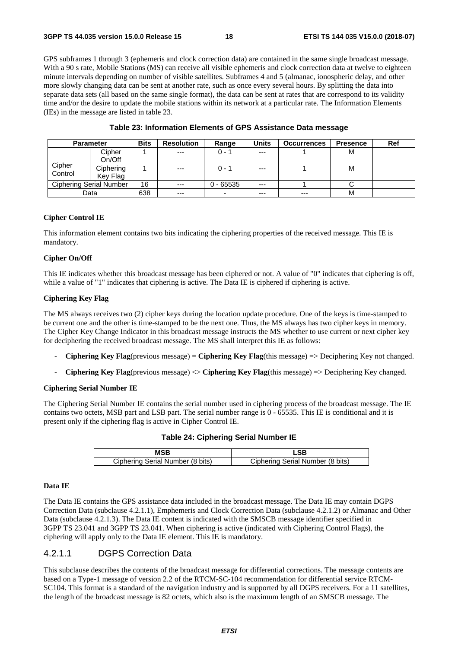GPS subframes 1 through 3 (ephemeris and clock correction data) are contained in the same single broadcast message. With a 90 s rate, Mobile Stations (MS) can receive all visible ephemeris and clock correction data at twelve to eighteen minute intervals depending on number of visible satellites. Subframes 4 and 5 (almanac, ionospheric delay, and other more slowly changing data can be sent at another rate, such as once every several hours. By splitting the data into separate data sets (all based on the same single format), the data can be sent at rates that are correspond to its validity time and/or the desire to update the mobile stations within its network at a particular rate. The Information Elements (IEs) in the message are listed in table 23.

|         | <b>Parameter</b>        | <b>Bits</b> | <b>Resolution</b> | Range       | Units | <b>Occurrences</b> | <b>Presence</b> | Ref |
|---------|-------------------------|-------------|-------------------|-------------|-------|--------------------|-----------------|-----|
|         | Cipher                  |             | $---$             | $0 - 1$     | $---$ |                    | M               |     |
|         | On/Off                  |             |                   |             |       |                    |                 |     |
| Cipher  | Ciphering               |             | $---$             | $0 - 1$     | $---$ |                    | М               |     |
| Control | Key Flag                |             |                   |             |       |                    |                 |     |
|         | Ciphering Serial Number | 16          | $---$             | $0 - 65535$ | $---$ |                    |                 |     |
|         | Data                    | 638         | $---$             |             | $---$ | $---$              | М               |     |

#### **Table 23: Information Elements of GPS Assistance Data message**

#### **Cipher Control IE**

This information element contains two bits indicating the ciphering properties of the received message. This IE is mandatory.

#### **Cipher On/Off**

This IE indicates whether this broadcast message has been ciphered or not. A value of "0" indicates that ciphering is off, while a value of "1" indicates that ciphering is active. The Data IE is ciphered if ciphering is active.

#### **Ciphering Key Flag**

The MS always receives two (2) cipher keys during the location update procedure. One of the keys is time-stamped to be current one and the other is time-stamped to be the next one. Thus, the MS always has two cipher keys in memory. The Cipher Key Change Indicator in this broadcast message instructs the MS whether to use current or next cipher key for deciphering the received broadcast message. The MS shall interpret this IE as follows:

- **Ciphering Key Flag**(previous message) = **Ciphering Key Flag**(this message) => Deciphering Key not changed.
- **Ciphering Key Flag**(previous message) <> **Ciphering Key Flag**(this message) => Deciphering Key changed.

#### **Ciphering Serial Number IE**

The Ciphering Serial Number IE contains the serial number used in ciphering process of the broadcast message. The IE contains two octets, MSB part and LSB part. The serial number range is 0 - 65535. This IE is conditional and it is present only if the ciphering flag is active in Cipher Control IE.

#### **Table 24: Ciphering Serial Number IE**

| Ciphering Serial Number (8 bits) | Ciphering Serial Number (8 bits) |
|----------------------------------|----------------------------------|

#### **Data IE**

The Data IE contains the GPS assistance data included in the broadcast message. The Data IE may contain DGPS Correction Data (subclause 4.2.1.1), Emphemeris and Clock Correction Data (subclause 4.2.1.2) or Almanac and Other Data (subclause 4.2.1.3). The Data IE content is indicated with the SMSCB message identifier specified in 3GPP TS 23.041 and 3GPP TS 23.041. When ciphering is active (indicated with Ciphering Control Flags), the ciphering will apply only to the Data IE element. This IE is mandatory.

### 4.2.1.1 DGPS Correction Data

This subclause describes the contents of the broadcast message for differential corrections. The message contents are based on a Type-1 message of version 2.2 of the RTCM-SC-104 recommendation for differential service RTCM-SC104. This format is a standard of the navigation industry and is supported by all DGPS receivers. For a 11 satellites, the length of the broadcast message is 82 octets, which also is the maximum length of an SMSCB message. The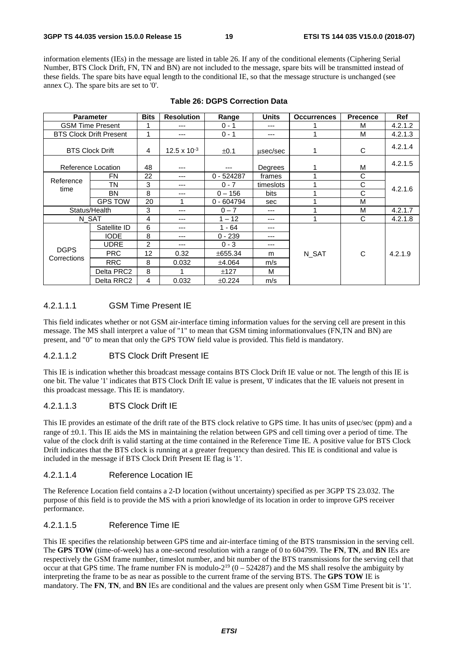information elements (IEs) in the message are listed in table 26. If any of the conditional elements (Ciphering Serial Number, BTS Clock Drift, FN, TN and BN) are not included to the message, spare bits will be transmitted instead of these fields. The spare bits have equal length to the conditional IE, so that the message structure is unchanged (see annex C). The spare bits are set to '0'.

|                            | <b>Parameter</b>               | <b>Bits</b>    | <b>Resolution</b>     | Range        | <b>Units</b> | <b>Occurrences</b> | <b>Precence</b> | <b>Ref</b> |
|----------------------------|--------------------------------|----------------|-----------------------|--------------|--------------|--------------------|-----------------|------------|
|                            | <b>GSM Time Present</b>        |                | ---                   | $0 - 1$      | ---          |                    | м               | 4.2.1.2    |
|                            | <b>BTS Clock Drift Present</b> |                | ---                   | $0 - 1$      | ---          |                    | м               | 4.2.1.3    |
|                            | <b>BTS Clock Drift</b>         | $\overline{4}$ | $12.5 \times 10^{-3}$ | ±0.1         | usec/sec     |                    | C               | 4.2.1.4    |
|                            | Reference Location             | 48             | ---                   |              | Degrees      |                    | M               | 4.2.1.5    |
|                            | <b>FN</b>                      | 22             | ---                   | $0 - 524287$ | frames       |                    | C               |            |
| Reference                  | TΝ                             | 3              | ---                   | $0 - 7$      | timeslots    |                    | C               |            |
| time                       | <b>BN</b>                      | 8              | ---                   | $0 - 156$    | <b>bits</b>  |                    | C               | 4.2.1.6    |
|                            | <b>GPS TOW</b>                 | 20             | 4                     | $0 - 604794$ | sec          |                    | м               |            |
|                            | Status/Health                  | 3              | ---                   | $0 - 7$      | ---          |                    | M               | 4.2.1.7    |
|                            | N SAT                          | 4              | ---                   | $1 - 12$     | ---          |                    | C               | 4.2.1.8    |
|                            | Satellite ID                   | 6              | ---                   | $1 - 64$     | ---          |                    |                 |            |
|                            | <b>IODE</b>                    | 8              | ---                   | $0 - 239$    | ---          |                    |                 |            |
| <b>DGPS</b><br>Corrections | <b>UDRE</b>                    | 2              | ---                   | $0 - 3$      | ---          |                    |                 |            |
|                            | <b>PRC</b>                     | 12             | 0.32                  | ±655.34      | m            | N SAT              | C               | 4.2.1.9    |
|                            | <b>RRC</b>                     | 8              | 0.032                 | ±4.064       | m/s          |                    |                 |            |
|                            | Delta PRC2                     | 8              |                       | ±127         | M            |                    |                 |            |
|                            | Delta RRC2                     | 4              | 0.032                 | ±0.224       | m/s          |                    |                 |            |

#### **Table 26: DGPS Correction Data**

### 4.2.1.1.1 GSM Time Present IE

This field indicates whether or not GSM air-interface timing information values for the serving cell are present in this message. The MS shall interpret a value of "1" to mean that GSM timing informationvalues (FN,TN and BN) are present, and "0" to mean that only the GPS TOW field value is provided. This field is mandatory.

### 4.2.1.1.2 BTS Clock Drift Present IE

This IE is indication whether this broadcast message contains BTS Clock Drift IE value or not. The length of this IE is one bit. The value '1' indicates that BTS Clock Drift IE value is present, '0' indicates that the IE valueis not present in this proadcast message. This IE is mandatory.

### 4.2.1.1.3 BTS Clock Drift IE

This IE provides an estimate of the drift rate of the BTS clock relative to GPS time. It has units of μsec/sec (ppm) and a range of ±0.1. This IE aids the MS in maintaining the relation between GPS and cell timing over a period of time. The value of the clock drift is valid starting at the time contained in the Reference Time IE. A positive value for BTS Clock Drift indicates that the BTS clock is running at a greater frequency than desired. This IE is conditional and value is included in the message if BTS Clock Drift Present IE flag is '1'.

#### 4.2.1.1.4 Reference Location IE

The Reference Location field contains a 2-D location (without uncertainty) specified as per 3GPP TS 23.032. The purpose of this field is to provide the MS with a priori knowledge of its location in order to improve GPS receiver performance.

### 4.2.1.1.5 Reference Time IE

This IE specifies the relationship between GPS time and air-interface timing of the BTS transmission in the serving cell. The **GPS TOW** (time-of-week) has a one-second resolution with a range of 0 to 604799. The **FN**, **TN**, and **BN** IEs are respectively the GSM frame number, timeslot number, and bit number of the BTS transmissions for the serving cell that occur at that GPS time. The frame number FN is modulo- $2^{19}$  (0 – 524287) and the MS shall resolve the ambiguity by interpreting the frame to be as near as possible to the current frame of the serving BTS. The **GPS TOW** IE is mandatory. The **FN**, **TN**, and **BN** IEs are conditional and the values are present only when GSM Time Present bit is '1'.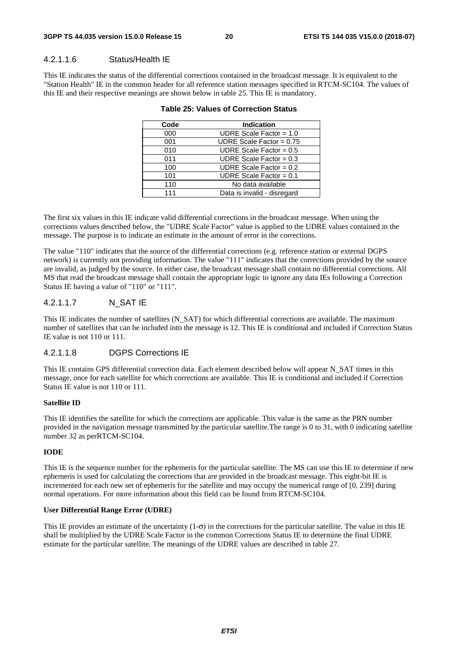#### 4.2.1.1.6 Status/Health IE

This IE indicates the status of the differential corrections contained in the broadcast message. It is equivalent to the "Station Health" IE in the common header for all reference station messages specified in RTCM-SC104. The values of this IE and their respective meanings are shown below in table 25. This IE is mandatory.

| Code | <b>Indication</b>           |
|------|-----------------------------|
| 000  | UDRE Scale Factor = $1.0$   |
| 001  | UDRE Scale Factor = $0.75$  |
| 010  | UDRE Scale Factor = $0.5$   |
| 011  | UDRE Scale Factor = $0.3$   |
| 100  | UDRE Scale Factor = $0.2$   |
| 101  | UDRE Scale Factor = $0.1$   |
| 110  | No data available           |
| 111  | Data is invalid - disregard |

| <b>Table 25: Values of Correction Status</b> |  |  |
|----------------------------------------------|--|--|
|----------------------------------------------|--|--|

The first six values in this IE indicate valid differential corrections in the broadcast message. When using the corrections values described below, the "UDRE Scale Factor" value is applied to the UDRE values contained in the message. The purpose is to indicate an estimate in the amount of error in the corrections.

The value "110" indicates that the source of the differential corrections (e.g. reference station or external DGPS network) is currently not providing information. The value "111" indicates that the corrections provided by the source are invalid, as judged by the source. In either case, the broadcast message shall contain no differential corrections. All MS that read the broadcast message shall contain the appropriate logic to ignore any data IEs following a Correction Status IE having a value of "110" or "111".

### 4.2.1.1.7 N\_SAT IE

This IE indicates the number of satellites (N\_SAT) for which differential corrections are available. The maximum number of satellites that can be included into the message is 12. This IE is conditional and included if Correction Status IE value is not 110 or 111.

### 4.2.1.1.8 DGPS Corrections IE

This IE contains GPS differential correction data. Each element described below will appear N\_SAT times in this message, once for each satellite for which corrections are available. This IE is conditional and included if Correction Status IE value is not 110 or 111.

#### **Satellite ID**

This IE identifies the satellite for which the corrections are applicable. This value is the same as the PRN number provided in the navigation message transmitted by the particular satellite.The range is 0 to 31, with 0 indicating satellite number 32 as perRTCM-SC104.

#### **IODE**

This IE is the sequence number for the ephemeris for the particular satellite. The MS can use this IE to determine if new ephemeris is used for calculating the corrections that are provided in the broadcast message. This eight-bit IE is incremented for each new set of ephemeris for the satellite and may occupy the numerical range of [0, 239] during normal operations. For more information about this field can be found from RTCM-SC104.

#### **User Differential Range Error (UDRE)**

This IE provides an estimate of the uncertainty  $(1-\sigma)$  in the corrections for the particular satellite. The value in this IE shall be multiplied by the UDRE Scale Factor in the common Corrections Status IE to determine the final UDRE estimate for the particular satellite. The meanings of the UDRE values are described in table 27.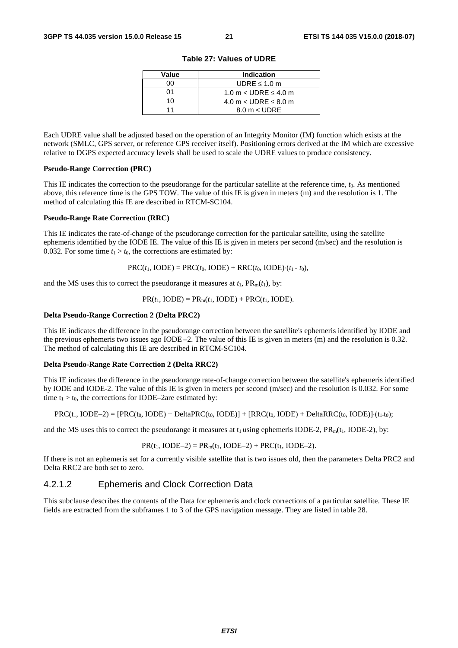| Value | Indication                    |
|-------|-------------------------------|
| n۵    | UDRE $\leq 1.0$ m             |
| ሰ1    | 1.0 m < UDRE $\leq$ 4.0 m     |
| 10    | 4.0 m < UDRE $\leq$ 8.0 m     |
| 11    | $8.0 \text{ m} < \text{UDRE}$ |

**Table 27: Values of UDRE** 

Each UDRE value shall be adjusted based on the operation of an Integrity Monitor (IM) function which exists at the network (SMLC, GPS server, or reference GPS receiver itself). Positioning errors derived at the IM which are excessive relative to DGPS expected accuracy levels shall be used to scale the UDRE values to produce consistency.

#### **Pseudo-Range Correction (PRC)**

This IE indicates the correction to the pseudorange for the particular satellite at the reference time, *t*0. As mentioned above, this reference time is the GPS TOW. The value of this IE is given in meters (m) and the resolution is 1. The method of calculating this IE are described in RTCM-SC104.

#### **Pseudo-Range Rate Correction (RRC)**

This IE indicates the rate-of-change of the pseudorange correction for the particular satellite, using the satellite ephemeris identified by the IODE IE. The value of this IE is given in meters per second (m/sec) and the resolution is 0.032. For some time  $t_1 > t_0$ , the corrections are estimated by:

 $PRC(t_1, \text{IODE}) = PRC(t_0, \text{IODE}) + RRC(t_0, \text{IODE}) \cdot (t_1 - t_0),$ 

and the MS uses this to correct the pseudorange it measures at  $t_1$ ,  $PR_m(t_1)$ , by:

 $PR(t_1, \text{IODE}) = PR_m(t_1, \text{IODE}) + PRC(t_1, \text{IODE}).$ 

#### **Delta Pseudo-Range Correction 2 (Delta PRC2)**

This IE indicates the difference in the pseudorange correction between the satellite's ephemeris identified by IODE and the previous ephemeris two issues ago IODE –2. The value of this IE is given in meters (m) and the resolution is 0.32. The method of calculating this IE are described in RTCM-SC104.

#### **Delta Pseudo-Range Rate Correction 2 (Delta RRC2)**

This IE indicates the difference in the pseudorange rate-of-change correction between the satellite's ephemeris identified by IODE and IODE-2. The value of this IE is given in meters per second (m/sec) and the resolution is 0.032. For some time  $t_1 > t_0$ , the corrections for IODE–2are estimated by:

$$
PRC(t_1, \text{IODE-2}) = [PRC(t_0, \text{IODE}) + \text{Delta}PRC(t_0, \text{IODE})] + [RRC(t_0, \text{IODE}) + \text{Delta}RRC(t_0, \text{IODE}) + (t_1, t_0);
$$

and the MS uses this to correct the pseudorange it measures at  $t_1$  using ephemeris IODE-2,  $PR_m(t_1, IODE-2)$ , by:

$$
PR(t_1, IODE-2) = PR_m(t_1, IODE-2) + PRC(t_1, IODE-2).
$$

If there is not an ephemeris set for a currently visible satellite that is two issues old, then the parameters Delta PRC2 and Delta RRC2 are both set to zero.

## 4.2.1.2 Ephemeris and Clock Correction Data

This subclause describes the contents of the Data for ephemeris and clock corrections of a particular satellite. These IE fields are extracted from the subframes 1 to 3 of the GPS navigation message. They are listed in table 28.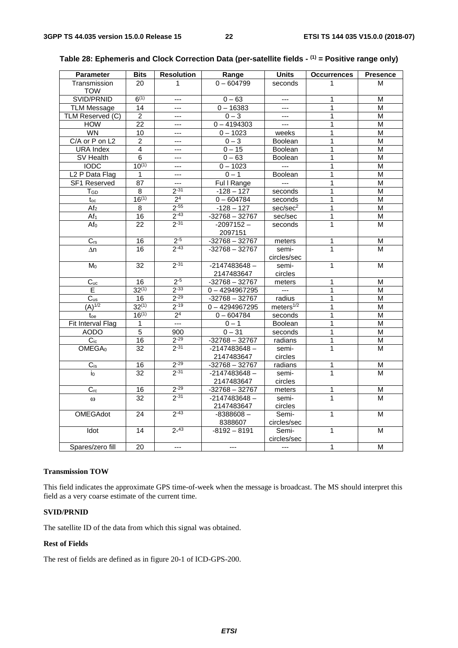| $0 - 604799$<br>Transmission<br>20<br>м<br>1<br>seconds<br>1<br><b>TOW</b><br>$6^{(1)}$<br>SVID/PRNID<br>$0 - 63$<br>1<br>M<br>---<br>$---$<br><b>TLM Message</b><br>14<br>$0 - 16383$<br>1<br>M<br>---<br>$\overline{a}$<br>TLM Reserved (C)<br>$\overline{c}$<br>$0 - 3$<br>M<br>1<br>$\overline{a}$<br>$---$<br><b>HOW</b><br>$\overline{22}$<br>$0 - 4194303$<br>1<br>M<br>$\overline{a}$<br>$\overline{a}$<br>WN<br>10<br>$0 - 1023$<br>1<br>M<br>weeks<br>$---$<br>C/A or P on L2<br>$\overline{2}$<br>1<br>M<br>$0 - 3$<br>Boolean<br>$---$<br><b>URA</b> Index<br>4<br>$0 - 15$<br>1<br><b>Boolean</b><br>M<br>$---$<br>SV Health<br>6<br>$0 - 63$<br>Boolean<br>1<br>M<br>---<br>$10^{(1)}$<br>$\overline{1}$<br><b>IODC</b><br>$0 - 1023$<br>$\overline{M}$<br>$\sim$<br>$---$<br>$0 - 1$<br>L <sub>2</sub> P Data Flag<br>1<br>$\overline{a}$<br>Boolean<br>M<br>1<br><b>SF1 Reserved</b><br>Ful I Range<br>M<br>87<br>1<br>$\sim$<br>$\overline{a}$<br>$2 - 31$<br>$-128 - 127$<br>8<br>1<br>M<br>T <sub>GD</sub><br>seconds<br>$16^{(1)}$<br>$\overline{2^4}$<br>$0 - 604784$<br>1<br>M<br>$t_{oc}$<br>seconds<br>$2 - 55$<br>Af <sub>2</sub><br>$-128 - 127$<br>sec/sec <sup>2</sup><br>1<br>8<br>M<br>$2 - 43$<br>16<br>$\overline{Af_1}$<br>$-32768 - 32767$<br>1<br>$\overline{\mathsf{M}}$<br>sec/sec<br>$2 - 31$<br>1<br>Af <sub>0</sub><br>22<br>$-2097152 -$<br>seconds<br>м<br>2097151<br>$2 - 5$<br>$-32768 - 32767$<br>$C_{rs}$<br>16<br>M<br>meters<br>1<br>$2 - 43$<br>16<br>$-32768 - 32767$<br>1<br>semi-<br>М<br>$\Delta n$<br>circles/sec<br>$2 - 31$<br>M <sub>0</sub><br>32<br>$-2147483648 -$<br>1<br>semi-<br>М<br>2147483647<br>circles<br>$2 - 5$<br>$-32768 - 32767$<br>$C_{uc}$<br>16<br>meters<br>1<br>M<br>$2 - 33$<br>$32^{(1)}$<br>$0 - 4294967295$<br>1<br>M<br>Е<br>$\sim$ | <b>Parameter</b> | <b>Bits</b> | <b>Resolution</b> | Range            | <b>Units</b> | <b>Occurrences</b> | <b>Presence</b> |
|------------------------------------------------------------------------------------------------------------------------------------------------------------------------------------------------------------------------------------------------------------------------------------------------------------------------------------------------------------------------------------------------------------------------------------------------------------------------------------------------------------------------------------------------------------------------------------------------------------------------------------------------------------------------------------------------------------------------------------------------------------------------------------------------------------------------------------------------------------------------------------------------------------------------------------------------------------------------------------------------------------------------------------------------------------------------------------------------------------------------------------------------------------------------------------------------------------------------------------------------------------------------------------------------------------------------------------------------------------------------------------------------------------------------------------------------------------------------------------------------------------------------------------------------------------------------------------------------------------------------------------------------------------------------------------------------------------------------------------------------------------------------------------------------------------------------|------------------|-------------|-------------------|------------------|--------------|--------------------|-----------------|
|                                                                                                                                                                                                                                                                                                                                                                                                                                                                                                                                                                                                                                                                                                                                                                                                                                                                                                                                                                                                                                                                                                                                                                                                                                                                                                                                                                                                                                                                                                                                                                                                                                                                                                                                                                                                                        |                  |             |                   |                  |              |                    |                 |
|                                                                                                                                                                                                                                                                                                                                                                                                                                                                                                                                                                                                                                                                                                                                                                                                                                                                                                                                                                                                                                                                                                                                                                                                                                                                                                                                                                                                                                                                                                                                                                                                                                                                                                                                                                                                                        |                  |             |                   |                  |              |                    |                 |
|                                                                                                                                                                                                                                                                                                                                                                                                                                                                                                                                                                                                                                                                                                                                                                                                                                                                                                                                                                                                                                                                                                                                                                                                                                                                                                                                                                                                                                                                                                                                                                                                                                                                                                                                                                                                                        |                  |             |                   |                  |              |                    |                 |
|                                                                                                                                                                                                                                                                                                                                                                                                                                                                                                                                                                                                                                                                                                                                                                                                                                                                                                                                                                                                                                                                                                                                                                                                                                                                                                                                                                                                                                                                                                                                                                                                                                                                                                                                                                                                                        |                  |             |                   |                  |              |                    |                 |
|                                                                                                                                                                                                                                                                                                                                                                                                                                                                                                                                                                                                                                                                                                                                                                                                                                                                                                                                                                                                                                                                                                                                                                                                                                                                                                                                                                                                                                                                                                                                                                                                                                                                                                                                                                                                                        |                  |             |                   |                  |              |                    |                 |
|                                                                                                                                                                                                                                                                                                                                                                                                                                                                                                                                                                                                                                                                                                                                                                                                                                                                                                                                                                                                                                                                                                                                                                                                                                                                                                                                                                                                                                                                                                                                                                                                                                                                                                                                                                                                                        |                  |             |                   |                  |              |                    |                 |
|                                                                                                                                                                                                                                                                                                                                                                                                                                                                                                                                                                                                                                                                                                                                                                                                                                                                                                                                                                                                                                                                                                                                                                                                                                                                                                                                                                                                                                                                                                                                                                                                                                                                                                                                                                                                                        |                  |             |                   |                  |              |                    |                 |
|                                                                                                                                                                                                                                                                                                                                                                                                                                                                                                                                                                                                                                                                                                                                                                                                                                                                                                                                                                                                                                                                                                                                                                                                                                                                                                                                                                                                                                                                                                                                                                                                                                                                                                                                                                                                                        |                  |             |                   |                  |              |                    |                 |
|                                                                                                                                                                                                                                                                                                                                                                                                                                                                                                                                                                                                                                                                                                                                                                                                                                                                                                                                                                                                                                                                                                                                                                                                                                                                                                                                                                                                                                                                                                                                                                                                                                                                                                                                                                                                                        |                  |             |                   |                  |              |                    |                 |
|                                                                                                                                                                                                                                                                                                                                                                                                                                                                                                                                                                                                                                                                                                                                                                                                                                                                                                                                                                                                                                                                                                                                                                                                                                                                                                                                                                                                                                                                                                                                                                                                                                                                                                                                                                                                                        |                  |             |                   |                  |              |                    |                 |
|                                                                                                                                                                                                                                                                                                                                                                                                                                                                                                                                                                                                                                                                                                                                                                                                                                                                                                                                                                                                                                                                                                                                                                                                                                                                                                                                                                                                                                                                                                                                                                                                                                                                                                                                                                                                                        |                  |             |                   |                  |              |                    |                 |
|                                                                                                                                                                                                                                                                                                                                                                                                                                                                                                                                                                                                                                                                                                                                                                                                                                                                                                                                                                                                                                                                                                                                                                                                                                                                                                                                                                                                                                                                                                                                                                                                                                                                                                                                                                                                                        |                  |             |                   |                  |              |                    |                 |
|                                                                                                                                                                                                                                                                                                                                                                                                                                                                                                                                                                                                                                                                                                                                                                                                                                                                                                                                                                                                                                                                                                                                                                                                                                                                                                                                                                                                                                                                                                                                                                                                                                                                                                                                                                                                                        |                  |             |                   |                  |              |                    |                 |
|                                                                                                                                                                                                                                                                                                                                                                                                                                                                                                                                                                                                                                                                                                                                                                                                                                                                                                                                                                                                                                                                                                                                                                                                                                                                                                                                                                                                                                                                                                                                                                                                                                                                                                                                                                                                                        |                  |             |                   |                  |              |                    |                 |
|                                                                                                                                                                                                                                                                                                                                                                                                                                                                                                                                                                                                                                                                                                                                                                                                                                                                                                                                                                                                                                                                                                                                                                                                                                                                                                                                                                                                                                                                                                                                                                                                                                                                                                                                                                                                                        |                  |             |                   |                  |              |                    |                 |
|                                                                                                                                                                                                                                                                                                                                                                                                                                                                                                                                                                                                                                                                                                                                                                                                                                                                                                                                                                                                                                                                                                                                                                                                                                                                                                                                                                                                                                                                                                                                                                                                                                                                                                                                                                                                                        |                  |             |                   |                  |              |                    |                 |
|                                                                                                                                                                                                                                                                                                                                                                                                                                                                                                                                                                                                                                                                                                                                                                                                                                                                                                                                                                                                                                                                                                                                                                                                                                                                                                                                                                                                                                                                                                                                                                                                                                                                                                                                                                                                                        |                  |             |                   |                  |              |                    |                 |
|                                                                                                                                                                                                                                                                                                                                                                                                                                                                                                                                                                                                                                                                                                                                                                                                                                                                                                                                                                                                                                                                                                                                                                                                                                                                                                                                                                                                                                                                                                                                                                                                                                                                                                                                                                                                                        |                  |             |                   |                  |              |                    |                 |
|                                                                                                                                                                                                                                                                                                                                                                                                                                                                                                                                                                                                                                                                                                                                                                                                                                                                                                                                                                                                                                                                                                                                                                                                                                                                                                                                                                                                                                                                                                                                                                                                                                                                                                                                                                                                                        |                  |             |                   |                  |              |                    |                 |
|                                                                                                                                                                                                                                                                                                                                                                                                                                                                                                                                                                                                                                                                                                                                                                                                                                                                                                                                                                                                                                                                                                                                                                                                                                                                                                                                                                                                                                                                                                                                                                                                                                                                                                                                                                                                                        |                  |             |                   |                  |              |                    |                 |
|                                                                                                                                                                                                                                                                                                                                                                                                                                                                                                                                                                                                                                                                                                                                                                                                                                                                                                                                                                                                                                                                                                                                                                                                                                                                                                                                                                                                                                                                                                                                                                                                                                                                                                                                                                                                                        |                  |             |                   |                  |              |                    |                 |
|                                                                                                                                                                                                                                                                                                                                                                                                                                                                                                                                                                                                                                                                                                                                                                                                                                                                                                                                                                                                                                                                                                                                                                                                                                                                                                                                                                                                                                                                                                                                                                                                                                                                                                                                                                                                                        |                  |             |                   |                  |              |                    |                 |
|                                                                                                                                                                                                                                                                                                                                                                                                                                                                                                                                                                                                                                                                                                                                                                                                                                                                                                                                                                                                                                                                                                                                                                                                                                                                                                                                                                                                                                                                                                                                                                                                                                                                                                                                                                                                                        |                  |             |                   |                  |              |                    |                 |
|                                                                                                                                                                                                                                                                                                                                                                                                                                                                                                                                                                                                                                                                                                                                                                                                                                                                                                                                                                                                                                                                                                                                                                                                                                                                                                                                                                                                                                                                                                                                                                                                                                                                                                                                                                                                                        |                  |             |                   |                  |              |                    |                 |
|                                                                                                                                                                                                                                                                                                                                                                                                                                                                                                                                                                                                                                                                                                                                                                                                                                                                                                                                                                                                                                                                                                                                                                                                                                                                                                                                                                                                                                                                                                                                                                                                                                                                                                                                                                                                                        |                  |             |                   |                  |              |                    |                 |
|                                                                                                                                                                                                                                                                                                                                                                                                                                                                                                                                                                                                                                                                                                                                                                                                                                                                                                                                                                                                                                                                                                                                                                                                                                                                                                                                                                                                                                                                                                                                                                                                                                                                                                                                                                                                                        |                  |             |                   |                  |              |                    |                 |
|                                                                                                                                                                                                                                                                                                                                                                                                                                                                                                                                                                                                                                                                                                                                                                                                                                                                                                                                                                                                                                                                                                                                                                                                                                                                                                                                                                                                                                                                                                                                                                                                                                                                                                                                                                                                                        | $C_{us}$         | 16          | $2 - 29$          | $-32768 - 32767$ | radius       | 1                  | M               |
| $(A)^{1/2}$<br>$2 - 19$<br>$32^{(1)}$<br>meters $1/2$<br>1<br>$0 - 4294967295$<br>M                                                                                                                                                                                                                                                                                                                                                                                                                                                                                                                                                                                                                                                                                                                                                                                                                                                                                                                                                                                                                                                                                                                                                                                                                                                                                                                                                                                                                                                                                                                                                                                                                                                                                                                                    |                  |             |                   |                  |              |                    |                 |
| 2 <sup>4</sup><br>$16^{(1)}$<br>$0 - 604784$<br>1<br>M<br>seconds<br>toe                                                                                                                                                                                                                                                                                                                                                                                                                                                                                                                                                                                                                                                                                                                                                                                                                                                                                                                                                                                                                                                                                                                                                                                                                                                                                                                                                                                                                                                                                                                                                                                                                                                                                                                                               |                  |             |                   |                  |              |                    |                 |
| Fit Interval Flag<br>$\overline{a}$<br>$0 - 1$<br>1<br>M<br>1<br><b>Boolean</b>                                                                                                                                                                                                                                                                                                                                                                                                                                                                                                                                                                                                                                                                                                                                                                                                                                                                                                                                                                                                                                                                                                                                                                                                                                                                                                                                                                                                                                                                                                                                                                                                                                                                                                                                        |                  |             |                   |                  |              |                    |                 |
| $\overline{5}$<br><b>AODO</b><br>$0 - 31$<br>1<br>900<br>seconds<br>м                                                                                                                                                                                                                                                                                                                                                                                                                                                                                                                                                                                                                                                                                                                                                                                                                                                                                                                                                                                                                                                                                                                                                                                                                                                                                                                                                                                                                                                                                                                                                                                                                                                                                                                                                  |                  |             |                   |                  |              |                    |                 |
| 16<br>$2 - 29$<br>$\mathbf{1}$<br>$\overline{C_{ic}}$<br>$-32768 - 32767$<br>M<br>radians                                                                                                                                                                                                                                                                                                                                                                                                                                                                                                                                                                                                                                                                                                                                                                                                                                                                                                                                                                                                                                                                                                                                                                                                                                                                                                                                                                                                                                                                                                                                                                                                                                                                                                                              |                  |             |                   |                  |              |                    |                 |
| $2 - 31$<br>1<br>OMEGA <sub>0</sub><br>32<br>$-2147483648 -$<br>M<br>semi-                                                                                                                                                                                                                                                                                                                                                                                                                                                                                                                                                                                                                                                                                                                                                                                                                                                                                                                                                                                                                                                                                                                                                                                                                                                                                                                                                                                                                                                                                                                                                                                                                                                                                                                                             |                  |             |                   |                  |              |                    |                 |
| 2147483647<br>circles                                                                                                                                                                                                                                                                                                                                                                                                                                                                                                                                                                                                                                                                                                                                                                                                                                                                                                                                                                                                                                                                                                                                                                                                                                                                                                                                                                                                                                                                                                                                                                                                                                                                                                                                                                                                  |                  |             |                   |                  |              |                    |                 |
| $2 - 29$<br>$-32768 - 32767$<br>radians<br>$C_{is}$<br>16<br>1<br>M                                                                                                                                                                                                                                                                                                                                                                                                                                                                                                                                                                                                                                                                                                                                                                                                                                                                                                                                                                                                                                                                                                                                                                                                                                                                                                                                                                                                                                                                                                                                                                                                                                                                                                                                                    |                  |             |                   |                  |              |                    |                 |
| $2 - 31$<br>$\overline{32}$<br>1<br>$-2147483648 -$<br>M<br>semi-<br>io                                                                                                                                                                                                                                                                                                                                                                                                                                                                                                                                                                                                                                                                                                                                                                                                                                                                                                                                                                                                                                                                                                                                                                                                                                                                                                                                                                                                                                                                                                                                                                                                                                                                                                                                                |                  |             |                   |                  |              |                    |                 |
| 2147483647<br>circles                                                                                                                                                                                                                                                                                                                                                                                                                                                                                                                                                                                                                                                                                                                                                                                                                                                                                                                                                                                                                                                                                                                                                                                                                                                                                                                                                                                                                                                                                                                                                                                                                                                                                                                                                                                                  |                  |             |                   |                  |              |                    |                 |
| $2 - 29$<br>$C_{rc}$<br>$-32768 - 32767$<br>1<br>M<br>16<br>meters                                                                                                                                                                                                                                                                                                                                                                                                                                                                                                                                                                                                                                                                                                                                                                                                                                                                                                                                                                                                                                                                                                                                                                                                                                                                                                                                                                                                                                                                                                                                                                                                                                                                                                                                                     |                  |             |                   |                  |              |                    |                 |
| $2 - 31$<br>$\overline{32}$<br>1<br>$-2147483648 -$<br>semi-<br>м<br>$\omega$                                                                                                                                                                                                                                                                                                                                                                                                                                                                                                                                                                                                                                                                                                                                                                                                                                                                                                                                                                                                                                                                                                                                                                                                                                                                                                                                                                                                                                                                                                                                                                                                                                                                                                                                          |                  |             |                   |                  |              |                    |                 |
| 2147483647<br>circles                                                                                                                                                                                                                                                                                                                                                                                                                                                                                                                                                                                                                                                                                                                                                                                                                                                                                                                                                                                                                                                                                                                                                                                                                                                                                                                                                                                                                                                                                                                                                                                                                                                                                                                                                                                                  |                  |             |                   |                  |              |                    |                 |
| $2^{-43}$<br><b>OMEGAdot</b><br>24<br>$-8388608-$<br>1<br>Semi-<br>М                                                                                                                                                                                                                                                                                                                                                                                                                                                                                                                                                                                                                                                                                                                                                                                                                                                                                                                                                                                                                                                                                                                                                                                                                                                                                                                                                                                                                                                                                                                                                                                                                                                                                                                                                   |                  |             |                   |                  |              |                    |                 |
| 8388607<br>circles/sec                                                                                                                                                                                                                                                                                                                                                                                                                                                                                                                                                                                                                                                                                                                                                                                                                                                                                                                                                                                                                                                                                                                                                                                                                                                                                                                                                                                                                                                                                                                                                                                                                                                                                                                                                                                                 |                  |             |                   |                  |              |                    |                 |
| $2 - 43$<br>1<br>Idot<br>14<br>$-8192 - 8191$<br>M<br>Semi-                                                                                                                                                                                                                                                                                                                                                                                                                                                                                                                                                                                                                                                                                                                                                                                                                                                                                                                                                                                                                                                                                                                                                                                                                                                                                                                                                                                                                                                                                                                                                                                                                                                                                                                                                            |                  |             |                   |                  |              |                    |                 |
| circles/sec                                                                                                                                                                                                                                                                                                                                                                                                                                                                                                                                                                                                                                                                                                                                                                                                                                                                                                                                                                                                                                                                                                                                                                                                                                                                                                                                                                                                                                                                                                                                                                                                                                                                                                                                                                                                            |                  |             |                   |                  |              |                    |                 |
| $\mathbf{1}$<br>Spares/zero fill<br>20<br>М<br>$\overline{a}$<br>$\overline{a}$<br>$---$                                                                                                                                                                                                                                                                                                                                                                                                                                                                                                                                                                                                                                                                                                                                                                                                                                                                                                                                                                                                                                                                                                                                                                                                                                                                                                                                                                                                                                                                                                                                                                                                                                                                                                                               |                  |             |                   |                  |              |                    |                 |

# **Table 28: Ephemeris and Clock Correction Data (per-satellite fields - (1) = Positive range only)**

#### **Transmission TOW**

This field indicates the approximate GPS time-of-week when the message is broadcast. The MS should interpret this field as a very coarse estimate of the current time.

#### **SVID/PRNID**

The satellite ID of the data from which this signal was obtained.

### **Rest of Fields**

The rest of fields are defined as in figure 20-1 of ICD-GPS-200.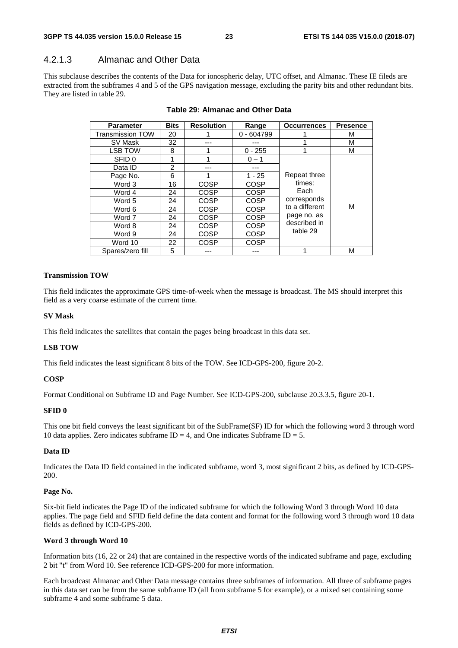# 4.2.1.3 Almanac and Other Data

This subclause describes the contents of the Data for ionospheric delay, UTC offset, and Almanac. These IE fileds are extracted from the subframes 4 and 5 of the GPS navigation message, excluding the parity bits and other redundant bits. They are listed in table 29.

| <b>Parameter</b> | <b>Bits</b> | <b>Resolution</b> | Range        | <b>Occurrences</b> | <b>Presence</b> |
|------------------|-------------|-------------------|--------------|--------------------|-----------------|
| Transmission TOW | 20          |                   | $0 - 604799$ |                    | М               |
| SV Mask          | 32          |                   | ---          |                    | М               |
| <b>LSB TOW</b>   | 8           |                   | $0 - 255$    |                    | М               |
| SFID 0           | 1           |                   | $0 - 1$      |                    |                 |
| Data ID          | 2           |                   | ---          |                    |                 |
| Page No.         | 6           |                   | $1 - 25$     | Repeat three       |                 |
| Word 3           | 16          | <b>COSP</b>       | COSP         | times:             |                 |
| Word 4           | 24          | <b>COSP</b>       | <b>COSP</b>  | Each               |                 |
| Word 5           | 24          | COSP              | <b>COSP</b>  | corresponds        |                 |
| Word 6           | 24          | <b>COSP</b>       | COSP         | to a different     | M               |
| Word 7           | 24          | <b>COSP</b>       | <b>COSP</b>  | page no. as        |                 |
| Word 8           | 24          | <b>COSP</b>       | <b>COSP</b>  | described in       |                 |
| Word 9           | 24          | COSP              | COSP         | table 29           |                 |
| Word 10          | 22          | COSP              | <b>COSP</b>  |                    |                 |
| Spares/zero fill | 5           |                   |              |                    | М               |

#### **Table 29: Almanac and Other Data**

#### **Transmission TOW**

This field indicates the approximate GPS time-of-week when the message is broadcast. The MS should interpret this field as a very coarse estimate of the current time.

#### **SV Mask**

This field indicates the satellites that contain the pages being broadcast in this data set.

#### **LSB TOW**

This field indicates the least significant 8 bits of the TOW. See ICD-GPS-200, figure 20-2.

#### **COSP**

Format Conditional on Subframe ID and Page Number. See ICD-GPS-200, subclause 20.3.3.5, figure 20-1.

#### **SFID 0**

This one bit field conveys the least significant bit of the SubFrame(SF) ID for which the following word 3 through word 10 data applies. Zero indicates subframe  $ID = 4$ , and One indicates Subframe  $ID = 5$ .

#### **Data ID**

Indicates the Data ID field contained in the indicated subframe, word 3, most significant 2 bits, as defined by ICD-GPS-200.

#### **Page No.**

Six-bit field indicates the Page ID of the indicated subframe for which the following Word 3 through Word 10 data applies. The page field and SFID field define the data content and format for the following word 3 through word 10 data fields as defined by ICD-GPS-200.

#### **Word 3 through Word 10**

Information bits (16, 22 or 24) that are contained in the respective words of the indicated subframe and page, excluding 2 bit "t" from Word 10. See reference ICD-GPS-200 for more information.

Each broadcast Almanac and Other Data message contains three subframes of information. All three of subframe pages in this data set can be from the same subframe ID (all from subframe 5 for example), or a mixed set containing some subframe 4 and some subframe 5 data.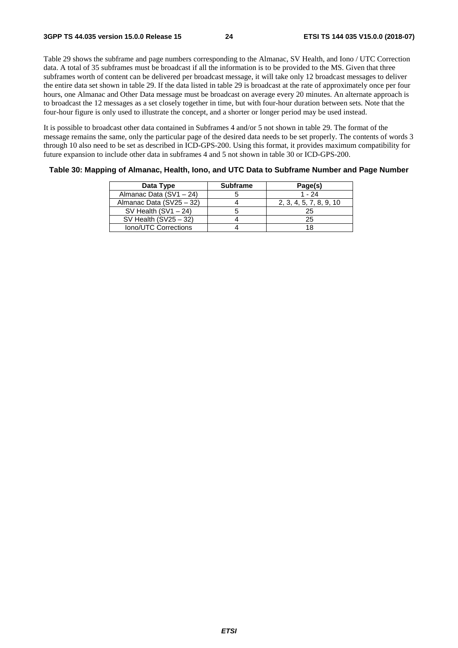Table 29 shows the subframe and page numbers corresponding to the Almanac, SV Health, and Iono / UTC Correction data. A total of 35 subframes must be broadcast if all the information is to be provided to the MS. Given that three subframes worth of content can be delivered per broadcast message, it will take only 12 broadcast messages to deliver the entire data set shown in table 29. If the data listed in table 29 is broadcast at the rate of approximately once per four hours, one Almanac and Other Data message must be broadcast on average every 20 minutes. An alternate approach is to broadcast the 12 messages as a set closely together in time, but with four-hour duration between sets. Note that the four-hour figure is only used to illustrate the concept, and a shorter or longer period may be used instead.

It is possible to broadcast other data contained in Subframes 4 and/or 5 not shown in table 29. The format of the message remains the same, only the particular page of the desired data needs to be set properly. The contents of words 3 through 10 also need to be set as described in ICD-GPS-200. Using this format, it provides maximum compatibility for future expansion to include other data in subframes 4 and 5 not shown in table 30 or ICD-GPS-200.

| Data Type                | <b>Subframe</b> | Page(s)                 |
|--------------------------|-----------------|-------------------------|
| Almanac Data (SV1 - 24)  |                 | 1 - 24                  |
| Almanac Data (SV25 - 32) |                 | 2, 3, 4, 5, 7, 8, 9, 10 |
| SV Health $(SV1 - 24)$   |                 | 25                      |
| SV Health $(SV25 - 32)$  |                 | 25                      |
| Iono/UTC Corrections     |                 |                         |

#### **Table 30: Mapping of Almanac, Health, Iono, and UTC Data to Subframe Number and Page Number**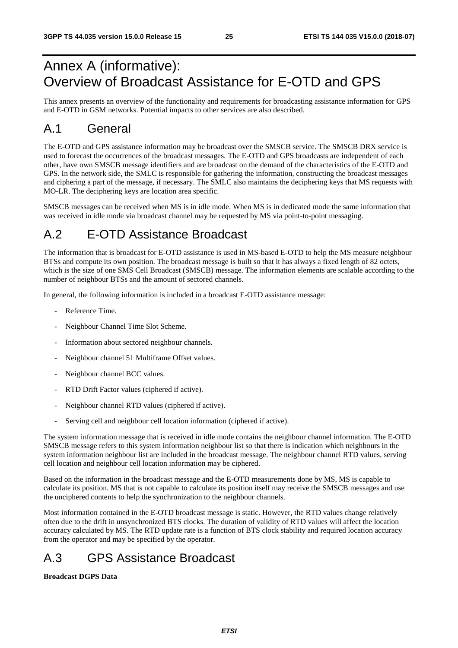# Annex A (informative): Overview of Broadcast Assistance for E-OTD and GPS

This annex presents an overview of the functionality and requirements for broadcasting assistance information for GPS and E-OTD in GSM networks. Potential impacts to other services are also described.

# A.1 General

The E-OTD and GPS assistance information may be broadcast over the SMSCB service. The SMSCB DRX service is used to forecast the occurrences of the broadcast messages. The E-OTD and GPS broadcasts are independent of each other, have own SMSCB message identifiers and are broadcast on the demand of the characteristics of the E-OTD and GPS. In the network side, the SMLC is responsible for gathering the information, constructing the broadcast messages and ciphering a part of the message, if necessary. The SMLC also maintains the deciphering keys that MS requests with MO-LR. The deciphering keys are location area specific.

SMSCB messages can be received when MS is in idle mode. When MS is in dedicated mode the same information that was received in idle mode via broadcast channel may be requested by MS via point-to-point messaging.

# A.2 E-OTD Assistance Broadcast

The information that is broadcast for E-OTD assistance is used in MS-based E-OTD to help the MS measure neighbour BTSs and compute its own position. The broadcast message is built so that it has always a fixed length of 82 octets, which is the size of one SMS Cell Broadcast (SMSCB) message. The information elements are scalable according to the number of neighbour BTSs and the amount of sectored channels.

In general, the following information is included in a broadcast E-OTD assistance message:

- Reference Time.
- Neighbour Channel Time Slot Scheme.
- Information about sectored neighbour channels.
- Neighbour channel 51 Multiframe Offset values.
- Neighbour channel BCC values.
- RTD Drift Factor values (ciphered if active).
- Neighbour channel RTD values (ciphered if active).
- Serving cell and neighbour cell location information (ciphered if active).

The system information message that is received in idle mode contains the neighbour channel information. The E-OTD SMSCB message refers to this system information neighbour list so that there is indication which neighbours in the system information neighbour list are included in the broadcast message. The neighbour channel RTD values, serving cell location and neighbour cell location information may be ciphered.

Based on the information in the broadcast message and the E-OTD measurements done by MS, MS is capable to calculate its position. MS that is not capable to calculate its position itself may receive the SMSCB messages and use the unciphered contents to help the synchronization to the neighbour channels.

Most information contained in the E-OTD broadcast message is static. However, the RTD values change relatively often due to the drift in unsynchronized BTS clocks. The duration of validity of RTD values will affect the location accuracy calculated by MS. The RTD update rate is a function of BTS clock stability and required location accuracy from the operator and may be specified by the operator.

# A.3 GPS Assistance Broadcast

#### **Broadcast DGPS Data**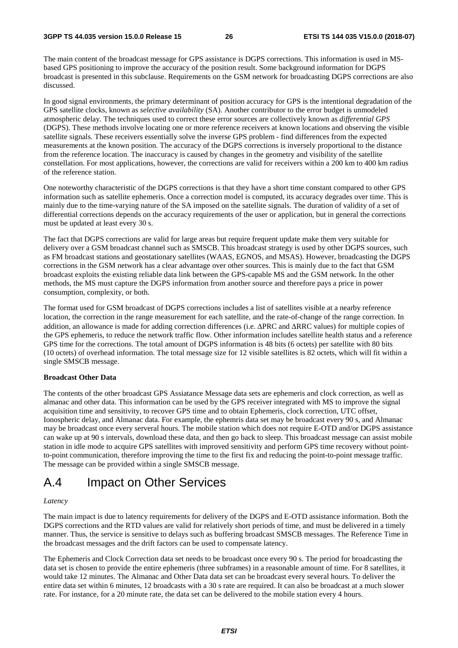The main content of the broadcast message for GPS assistance is DGPS corrections. This information is used in MSbased GPS positioning to improve the accuracy of the position result. Some background information for DGPS broadcast is presented in this subclause. Requirements on the GSM network for broadcasting DGPS corrections are also discussed.

In good signal environments, the primary determinant of position accuracy for GPS is the intentional degradation of the GPS satellite clocks, known as *selective availability* (SA). Another contributor to the error budget is unmodeled atmospheric delay. The techniques used to correct these error sources are collectively known as *differential GPS* (DGPS). These methods involve locating one or more reference receivers at known locations and observing the visible satellite signals. These receivers essentially solve the inverse GPS problem - find differences from the expected measurements at the known position. The accuracy of the DGPS corrections is inversely proportional to the distance from the reference location. The inaccuracy is caused by changes in the geometry and visibility of the satellite constellation. For most applications, however, the corrections are valid for receivers within a 200 km to 400 km radius of the reference station.

One noteworthy characteristic of the DGPS corrections is that they have a short time constant compared to other GPS information such as satellite ephemeris. Once a correction model is computed, its accuracy degrades over time. This is mainly due to the time-varying nature of the SA imposed on the satellite signals. The duration of validity of a set of differential corrections depends on the accuracy requirements of the user or application, but in general the corrections must be updated at least every 30 s.

The fact that DGPS corrections are valid for large areas but require frequent update make them very suitable for delivery over a GSM broadcast channel such as SMSCB. This broadcast strategy is used by other DGPS sources, such as FM broadcast stations and geostationary satellites (WAAS, EGNOS, and MSAS). However, broadcasting the DGPS corrections in the GSM network has a clear advantage over other sources. This is mainly due to the fact that GSM broadcast exploits the existing reliable data link between the GPS-capable MS and the GSM network. In the other methods, the MS must capture the DGPS information from another source and therefore pays a price in power consumption, complexity, or both.

The format used for GSM broadcast of DGPS corrections includes a list of satellites visible at a nearby reference location, the correction in the range measurement for each satellite, and the rate-of-change of the range correction. In addition, an allowance is made for adding correction differences (i.e. ΔPRC and ΔRRC values) for multiple copies of the GPS ephemeris, to reduce the network traffic flow. Other information includes satellite health status and a reference GPS time for the corrections. The total amount of DGPS information is 48 bits (6 octets) per satellite with 80 bits (10 octets) of overhead information. The total message size for 12 visible satellites is 82 octets, which will fit within a single SMSCB message.

#### **Broadcast Other Data**

The contents of the other broadcast GPS Assiatance Message data sets are ephemeris and clock correction, as well as almanac and other data. This information can be used by the GPS receiver integrated with MS to improve the signal acquisition time and sensitivity, to recover GPS time and to obtain Ephemeris, clock correction, UTC offset, Ionospheric delay, and Almanac data. For example, the ephemris data set may be broadcast every 90 s, and Almanac may be broadcast once every serveral hours. The mobile station which does not require E-OTD and/or DGPS assistance can wake up at 90 s intervals, download these data, and then go back to sleep. This broadcast message can assist mobile station in idle mode to acquire GPS satellites with improved sensitivity and perform GPS time recovery without pointto-point communication, therefore improving the time to the first fix and reducing the point-to-point message traffic. The message can be provided within a single SMSCB message.

# A.4 Impact on Other Services

#### *Latency*

The main impact is due to latency requirements for delivery of the DGPS and E-OTD assistance information. Both the DGPS corrections and the RTD values are valid for relatively short periods of time, and must be delivered in a timely manner. Thus, the service is sensitive to delays such as buffering broadcast SMSCB messages. The Reference Time in the broadcast messages and the drift factors can be used to compensate latency.

The Ephemeris and Clock Correction data set needs to be broadcast once every 90 s. The period for broadcasting the data set is chosen to provide the entire ephemeris (three subframes) in a reasonable amount of time. For 8 satellites, it would take 12 minutes. The Almanac and Other Data data set can be broadcast every several hours. To deliver the entire data set within 6 minutes, 12 broadcasts with a 30 s rate are required. It can also be broadcast at a much slower rate. For instance, for a 20 minute rate, the data set can be delivered to the mobile station every 4 hours.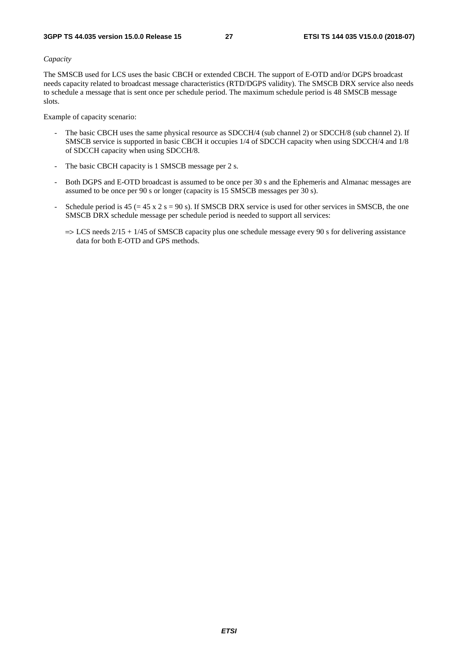#### *Capacity*

The SMSCB used for LCS uses the basic CBCH or extended CBCH. The support of E-OTD and/or DGPS broadcast needs capacity related to broadcast message characteristics (RTD/DGPS validity). The SMSCB DRX service also needs to schedule a message that is sent once per schedule period. The maximum schedule period is 48 SMSCB message slots.

Example of capacity scenario:

- The basic CBCH uses the same physical resource as SDCCH/4 (sub channel 2) or SDCCH/8 (sub channel 2). If SMSCB service is supported in basic CBCH it occupies 1/4 of SDCCH capacity when using SDCCH/4 and 1/8 of SDCCH capacity when using SDCCH/8.
- The basic CBCH capacity is 1 SMSCB message per 2 s.
- Both DGPS and E-OTD broadcast is assumed to be once per 30 s and the Ephemeris and Almanac messages are assumed to be once per 90 s or longer (capacity is 15 SMSCB messages per 30 s).
- Schedule period is  $45 (= 45 \times 2 \text{ s} = 90 \text{ s})$ . If SMSCB DRX service is used for other services in SMSCB, the one SMSCB DRX schedule message per schedule period is needed to support all services:
	- $\Rightarrow$  LCS needs 2/15 + 1/45 of SMSCB capacity plus one schedule message every 90 s for delivering assistance data for both E-OTD and GPS methods.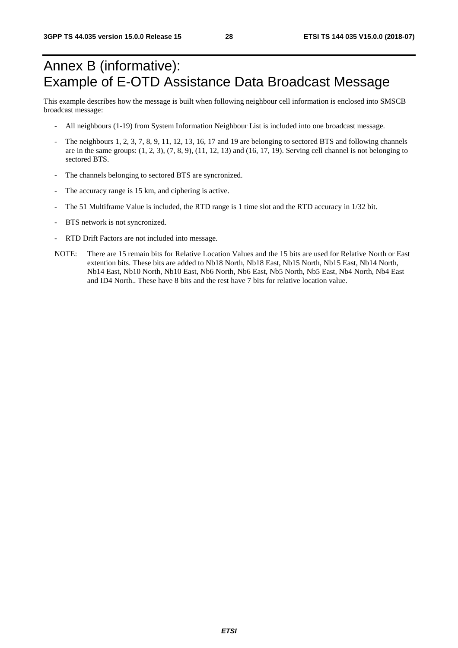# Annex B (informative): Example of E-OTD Assistance Data Broadcast Message

This example describes how the message is built when following neighbour cell information is enclosed into SMSCB broadcast message:

- All neighbours (1-19) from System Information Neighbour List is included into one broadcast message.
- The neighbours 1, 2, 3, 7, 8, 9, 11, 12, 13, 16, 17 and 19 are belonging to sectored BTS and following channels are in the same groups: (1, 2, 3), (7, 8, 9), (11, 12, 13) and (16, 17, 19). Serving cell channel is not belonging to sectored BTS.
- The channels belonging to sectored BTS are syncronized.
- The accuracy range is 15 km, and ciphering is active.
- The 51 Multiframe Value is included, the RTD range is 1 time slot and the RTD accuracy in 1/32 bit.
- BTS network is not syncronized.
- RTD Drift Factors are not included into message.
- NOTE: There are 15 remain bits for Relative Location Values and the 15 bits are used for Relative North or East extention bits. These bits are added to Nb18 North, Nb18 East, Nb15 North, Nb15 East, Nb14 North, Nb14 East, Nb10 North, Nb10 East, Nb6 North, Nb6 East, Nb5 North, Nb5 East, Nb4 North, Nb4 East and ID4 North.. These have 8 bits and the rest have 7 bits for relative location value.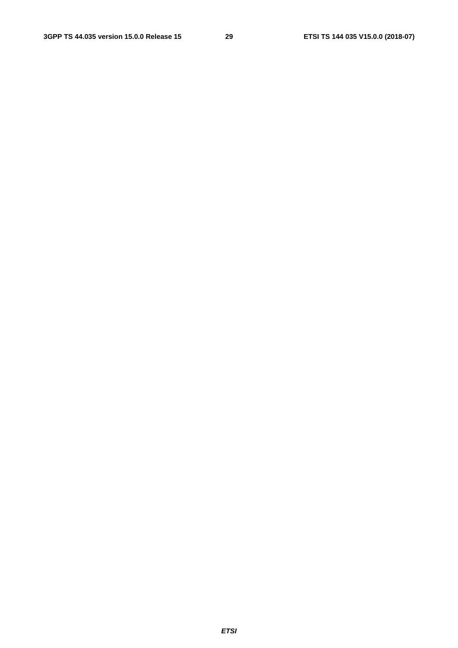*ETSI*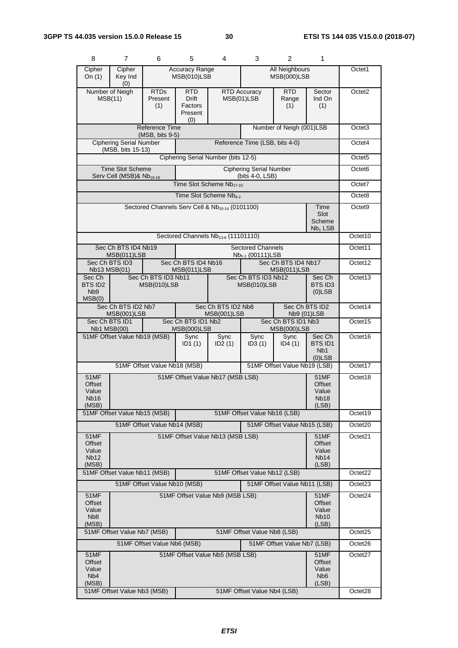| 8                                                           | 7                                                                                               | 6                                  | 5                                         | 4                                                                  | 3                                                        | 2                                  | 1                                                  |                    |  |
|-------------------------------------------------------------|-------------------------------------------------------------------------------------------------|------------------------------------|-------------------------------------------|--------------------------------------------------------------------|----------------------------------------------------------|------------------------------------|----------------------------------------------------|--------------------|--|
| Cipher<br>On $(1)$                                          | Cipher<br>Key Ind<br>(0)                                                                        |                                    | <b>Accuracy Range</b><br>MSB(010)LSB      |                                                                    | All Neighbours<br><b>MSB(000)LSB</b>                     |                                    |                                                    | Octet1             |  |
|                                                             | Number of Neigh<br>MSB(11)                                                                      | <b>RTDs</b><br>Present<br>(1)      | RTD<br>Drift<br>Factors<br>Present<br>(0) |                                                                    | RTD Accuracy<br>MSB(01)LSB                               | <b>RTD</b><br>Range<br>(1)         | Sector<br>Ind On<br>(1)                            | Octet <sub>2</sub> |  |
|                                                             | Reference Time<br>Number of Neigh (001)LSB<br>(MSB, bits 9-5)                                   |                                    |                                           |                                                                    |                                                          |                                    |                                                    |                    |  |
|                                                             | <b>Ciphering Serial Number</b><br>(MSB, bits 15-13)                                             |                                    |                                           |                                                                    | Reference Time (LSB, bits 4-0)                           |                                    |                                                    | Octet4             |  |
|                                                             | Ciphering Serial Number (bits 12-5)                                                             |                                    |                                           |                                                                    |                                                          |                                    |                                                    |                    |  |
|                                                             | <b>Time Slot Scheme</b><br>Serv Cell (MSB)& Nb <sub>19-18</sub>                                 |                                    |                                           |                                                                    | <b>Ciphering Serial Number</b><br>(bits 4-0, LSB)        |                                    |                                                    | Octet <sub>6</sub> |  |
|                                                             |                                                                                                 |                                    |                                           | Time Slot Scheme Nb <sub>17-10</sub>                               |                                                          |                                    |                                                    | Octet7             |  |
|                                                             |                                                                                                 |                                    |                                           | Time Slot Scheme Nb <sub>9-2</sub>                                 |                                                          |                                    |                                                    | Octet8             |  |
|                                                             |                                                                                                 |                                    |                                           | Sectored Channels Serv Cell & Nb <sub>19-14</sub> (0101100)        |                                                          |                                    | Time<br>Slot<br>Scheme<br>$Nb1$ LSB                | Octet <sub>9</sub> |  |
|                                                             |                                                                                                 |                                    |                                           | Sectored Channels Nb <sub>13-6</sub> (11101110)                    |                                                          |                                    |                                                    | Octet10            |  |
|                                                             | Sec Ch BTS ID4 Nb19<br>MSB(011)LSB                                                              |                                    |                                           |                                                                    | <b>Sectored Channels</b><br>Nb <sub>5-1</sub> (00111)LSB |                                    |                                                    | Octet11            |  |
|                                                             | Sec Ch BTS ID3<br>Nb13 MSB(01)                                                                  |                                    | Sec Ch BTS ID4 Nb16<br>MSB(011)LSB        |                                                                    |                                                          | Sec Ch BTS ID4 Nb17<br>MSB(011)LSB |                                                    | Octet12            |  |
| Sec Ch<br>BTS ID2<br>N <sub>b</sub> 9<br>MSB(0)             |                                                                                                 | Sec Ch BTS ID3 Nb11<br>MSB(010)LSB |                                           |                                                                    | Sec Ch BTS ID3 Nb12<br>MSB(010)LSB                       |                                    | Sec Ch<br><b>BTS ID3</b><br>$(0)$ LSB              | Octet13            |  |
|                                                             | Sec Ch BTS ID2 Nb7<br>MSB(001)LSB                                                               |                                    |                                           | Sec Ch BTS ID2<br>Sec Ch BTS ID2 Nb8<br>Nb9 (01)LSB<br>MSB(001)LSB |                                                          |                                    |                                                    | Octet14            |  |
|                                                             | Sec Ch BTS ID1<br><b>Nb1 MSB(00)</b>                                                            |                                    | Sec Ch BTS ID1 Nb2<br><b>MSB(000)LSB</b>  | Sec Ch BTS ID1 Nb3<br><b>MSB(000)LSB</b>                           |                                                          |                                    |                                                    | Octet15            |  |
|                                                             | 51MF Offset Value Nb19 (MSB)                                                                    |                                    | Sync<br>ID1(1)                            | Sync<br>ID2(1)                                                     | Sync<br>ID3(1)                                           | Sync<br>ID4(1)                     | Sec Ch<br>BTS ID1<br>N <sub>b</sub> 1<br>$(0)$ LSB | Octet16            |  |
|                                                             |                                                                                                 | 51MF Offset Value Nb18 (MSB)       |                                           |                                                                    |                                                          | 51MF Offset Value Nb19 (LSB)       |                                                    | Octet17            |  |
| 51MF<br>Offset<br>Value<br>Nb16<br>(MSB)                    | 51MF Offset Value Nb17 (MSB LSB)<br>51MF<br>Offset<br>Value<br>Nb <sub>18</sub><br>(LSB)        |                                    |                                           |                                                                    |                                                          |                                    |                                                    |                    |  |
|                                                             | 51MF Offset Value Nb15 (MSB)                                                                    |                                    |                                           |                                                                    | 51MF Offset Value Nb16 (LSB)                             |                                    |                                                    | Octet19            |  |
|                                                             |                                                                                                 | 51MF Offset Value Nb14 (MSB)       |                                           |                                                                    |                                                          | 51MF Offset Value Nb15 (LSB)       |                                                    | Octet20<br>Octet21 |  |
| 51MF<br>Offset<br>Value<br>Nb <sub>12</sub><br>(MSB)        | 51MF Offset Value Nb13 (MSB LSB)<br><b>51MF</b><br>Offset<br>Value<br>Nb <sub>14</sub><br>(LSB) |                                    |                                           |                                                                    |                                                          |                                    |                                                    |                    |  |
|                                                             | 51MF Offset Value Nb11 (MSB)                                                                    |                                    |                                           |                                                                    | 51MF Offset Value Nb12 (LSB)                             |                                    |                                                    | Octet22            |  |
|                                                             |                                                                                                 | 51MF Offset Value Nb10 (MSB)       |                                           |                                                                    |                                                          | 51MF Offset Value Nb11 (LSB)       |                                                    | Octet23<br>Octet24 |  |
| Offset<br>Value<br>N <sub>b</sub> 8<br>(MSB)                | 51MF Offset Value Nb9 (MSB LSB)<br>51MF<br>51MF<br>Offset<br>Value<br><b>Nb10</b><br>(LSB)      |                                    |                                           |                                                                    |                                                          |                                    |                                                    |                    |  |
|                                                             | 51MF Offset Value Nb7 (MSB)                                                                     |                                    |                                           |                                                                    | 51MF Offset Value Nb8 (LSB)                              |                                    |                                                    | Octet25            |  |
|                                                             |                                                                                                 | 51MF Offset Value Nb6 (MSB)        |                                           |                                                                    |                                                          | 51MF Offset Value Nb7 (LSB)        | 51MF                                               | Octet26            |  |
| <b>51MF</b><br>Offset<br>Value<br>N <sub>b</sub> 4<br>(MSB) | 51MF Offset Value Nb5 (MSB LSB)                                                                 |                                    |                                           |                                                                    |                                                          |                                    |                                                    | Octet27            |  |
|                                                             | 51MF Offset Value Nb3 (MSB)                                                                     |                                    |                                           |                                                                    | 51MF Offset Value Nb4 (LSB)                              |                                    |                                                    | Octet28            |  |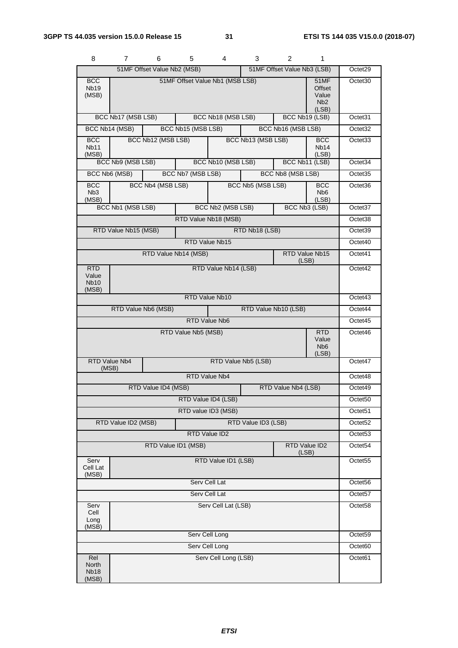| 8                                                                                  | 7.                                          | 6                           | 5                   | 4                    | 3                   | 2                           | 1                                       |                     |
|------------------------------------------------------------------------------------|---------------------------------------------|-----------------------------|---------------------|----------------------|---------------------|-----------------------------|-----------------------------------------|---------------------|
|                                                                                    |                                             | 51MF Offset Value Nb2 (MSB) |                     |                      |                     | 51MF Offset Value Nb3 (LSB) |                                         | Octet29             |
| <b>BCC</b><br><b>Nb19</b><br>(MSB)                                                 |                                             | Octet30                     |                     |                      |                     |                             |                                         |                     |
|                                                                                    | BCC Nb17 (MSB LSB)                          |                             |                     | BCC Nb18 (MSB LSB)   |                     |                             | (LSB)<br>BCC Nb19 (LSB)                 | Octet31             |
|                                                                                    | BCC Nb14 (MSB)                              |                             | BCC Nb15 (MSB LSB)  |                      |                     | BCC Nb16 (MSB LSB)          |                                         | Octet <sub>32</sub> |
| <b>BCC</b><br>Nb <sub>11</sub><br>(MSB)                                            |                                             | BCC Nb12 (MSB LSB)          |                     |                      | BCC Nb13 (MSB LSB)  |                             | <b>BCC</b><br>Nb <sub>14</sub><br>(LSB) | Octet <sub>33</sub> |
|                                                                                    | BCC Nb9 (MSB LSB)                           |                             |                     | BCC Nb10 (MSB LSB)   |                     |                             | BCC Nb11 (LSB)                          | Octet34             |
|                                                                                    | BCC Nb6 (MSB)                               |                             | BCC Nb7 (MSB LSB)   |                      |                     | BCC Nb8 (MSB LSB)           |                                         | Octet35             |
| BCC<br>N <sub>b</sub> 3<br>(MSB)                                                   |                                             | BCC Nb4 (MSB LSB)           |                     |                      | BCC Nb5 (MSB LSB)   |                             | <b>BCC</b><br>N <sub>b</sub> 6<br>(LSB) | Octet36             |
|                                                                                    | BCC Nb1 (MSB LSB)                           |                             |                     | BCC Nb2 (MSB LSB)    |                     |                             | BCC Nb3 (LSB)                           | Octet37             |
|                                                                                    |                                             |                             |                     | RTD Value Nb18 (MSB) |                     |                             |                                         | Octet <sub>38</sub> |
|                                                                                    | RTD Value Nb15 (MSB)                        |                             |                     |                      | RTD Nb18 (LSB)      |                             |                                         | Octet39             |
|                                                                                    |                                             |                             |                     | RTD Value Nb15       |                     |                             |                                         | Octet <sub>40</sub> |
|                                                                                    |                                             | RTD Value Nb14 (MSB)        |                     |                      |                     |                             | RTD Value Nb15<br>(LSB)                 | Octet41             |
| <b>RTD</b><br>Value<br><b>Nb10</b><br>(MSB)                                        | RTD Value Nb14 (LSB)                        |                             |                     |                      |                     |                             |                                         |                     |
|                                                                                    |                                             |                             |                     | RTD Value Nb10       |                     |                             |                                         | Octet43             |
|                                                                                    | RTD Value Nb6 (MSB)<br>RTD Value Nb10 (LSB) |                             |                     |                      |                     |                             |                                         |                     |
| RTD Value Nb6                                                                      |                                             |                             |                     |                      |                     |                             |                                         | Octet <sub>45</sub> |
| <b>RTD</b><br>RTD Value Nb5 (MSB)<br>Value<br>N <sub>b</sub> <sub>6</sub><br>(LSB) |                                             |                             |                     |                      |                     |                             |                                         | Octet46             |
|                                                                                    | <b>RTD Value Nb4</b>                        | Octet47                     |                     |                      |                     |                             |                                         |                     |
|                                                                                    | (MSB)<br>RTD Value Nb4                      |                             |                     |                      |                     |                             |                                         |                     |
|                                                                                    | RTD Value ID4 (MSB)<br>RTD Value Nb4 (LSB)  |                             |                     |                      |                     |                             |                                         |                     |
| RTD Value ID4 (LSB)                                                                |                                             |                             |                     |                      |                     |                             |                                         | Octet50             |
|                                                                                    |                                             |                             |                     | RTD value ID3 (MSB)  |                     |                             |                                         | Octet <sub>51</sub> |
|                                                                                    | RTD Value ID2 (MSB)                         |                             |                     |                      | RTD Value ID3 (LSB) |                             |                                         | Octet <sub>52</sub> |
|                                                                                    |                                             |                             |                     | RTD Value ID2        |                     |                             |                                         | Octet53             |
|                                                                                    |                                             |                             | RTD Value ID1 (MSB) |                      |                     |                             | RTD Value ID2<br>(LSB)                  | Octet54             |
| Serv<br>Cell Lat<br>(MSB)                                                          |                                             |                             |                     | RTD Value ID1 (LSB)  |                     |                             |                                         | Octet <sub>55</sub> |
|                                                                                    |                                             |                             |                     | Serv Cell Lat        |                     |                             |                                         | Octet56             |
| Serv Cell Lat                                                                      |                                             |                             |                     |                      |                     |                             |                                         | Octet57             |
| Serv<br>Cell<br>Long<br>(MSB)                                                      | Serv Cell Lat (LSB)                         |                             |                     |                      |                     |                             |                                         | Octet58             |
|                                                                                    |                                             |                             |                     | Serv Cell Long       |                     |                             |                                         | Octet59             |
|                                                                                    |                                             |                             |                     | Serv Cell Long       |                     |                             |                                         | Octet60             |
| Rel<br>North<br><b>Nb18</b><br>(MSB)                                               |                                             |                             |                     | Serv Cell Long (LSB) |                     |                             |                                         | Octet61             |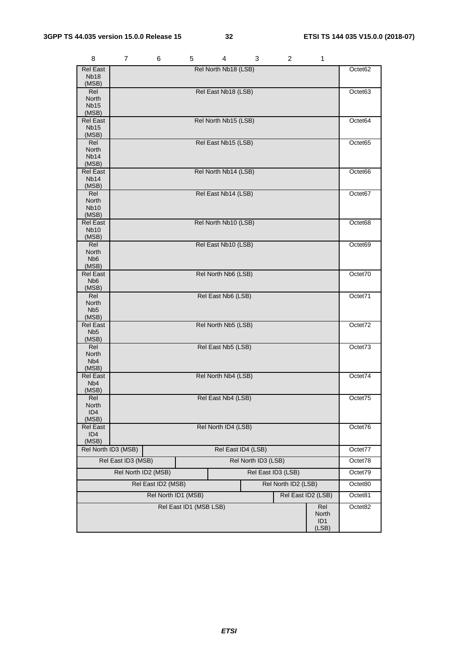| 8                                   | 7                                         | 6                   | 5                      | 4                    | 3                   | 2                  | 1                        |         |
|-------------------------------------|-------------------------------------------|---------------------|------------------------|----------------------|---------------------|--------------------|--------------------------|---------|
| <b>Rel East</b>                     |                                           |                     |                        | Rel North Nb18 (LSB) |                     |                    |                          | Octet62 |
| <b>Nb18</b><br>(MSB)                |                                           |                     |                        |                      |                     |                    |                          |         |
| Rel                                 |                                           |                     |                        | Rel East Nb18 (LSB)  |                     |                    |                          | Octet63 |
| North                               |                                           |                     |                        |                      |                     |                    |                          |         |
| <b>Nb15</b><br>(MSB)                |                                           |                     |                        |                      |                     |                    |                          |         |
| <b>Rel East</b>                     |                                           |                     |                        | Rel North Nb15 (LSB) |                     |                    |                          | Octet64 |
| <b>Nb15</b>                         |                                           |                     |                        |                      |                     |                    |                          |         |
| (MSB)<br>Rel                        |                                           |                     |                        | Rel East Nb15 (LSB)  |                     |                    |                          | Octet65 |
| <b>North</b>                        |                                           |                     |                        |                      |                     |                    |                          |         |
| <b>Nb14</b><br>(MSB)                |                                           |                     |                        |                      |                     |                    |                          |         |
| <b>Rel East</b>                     |                                           |                     |                        | Rel North Nb14 (LSB) |                     |                    |                          | Octet66 |
| Nb <sub>14</sub>                    |                                           |                     |                        |                      |                     |                    |                          |         |
| (MSB)<br>Rel                        |                                           |                     |                        | Rel East Nb14 (LSB)  |                     |                    |                          | Octet67 |
| North                               |                                           |                     |                        |                      |                     |                    |                          |         |
| <b>Nb10</b>                         |                                           |                     |                        |                      |                     |                    |                          |         |
| (MSB)<br><b>Rel East</b>            |                                           |                     |                        | Rel North Nb10 (LSB) |                     |                    |                          | Octet68 |
| <b>Nb10</b>                         |                                           |                     |                        |                      |                     |                    |                          |         |
| (MSB)                               |                                           |                     |                        |                      |                     |                    |                          |         |
| Rel<br>North                        |                                           |                     |                        | Rel East Nb10 (LSB)  |                     |                    |                          | Octet69 |
| N <sub>b</sub> 6                    |                                           |                     |                        |                      |                     |                    |                          |         |
| (MSB)                               |                                           |                     |                        |                      |                     |                    |                          |         |
| <b>Rel East</b><br>N <sub>b</sub> 6 |                                           |                     |                        | Rel North Nb6 (LSB)  |                     |                    |                          | Octet70 |
| (MSB)                               |                                           |                     |                        |                      |                     |                    |                          |         |
| Rel<br>North                        |                                           |                     |                        | Rel East Nb6 (LSB)   |                     |                    |                          | Octet71 |
| Nb <sub>5</sub>                     |                                           |                     |                        |                      |                     |                    |                          |         |
| (MSB)                               |                                           |                     |                        |                      |                     |                    |                          |         |
| <b>Rel East</b><br>N <sub>b5</sub>  |                                           |                     |                        | Rel North Nb5 (LSB)  |                     |                    |                          | Octet72 |
| (MSB)                               |                                           |                     |                        |                      |                     |                    |                          |         |
| Rel                                 |                                           |                     |                        | Rel East Nb5 (LSB)   |                     |                    |                          | Octet73 |
| North<br>Nb <sub>4</sub>            |                                           |                     |                        |                      |                     |                    |                          |         |
| (MSB)                               |                                           |                     |                        |                      |                     |                    |                          |         |
| <b>Rel East</b>                     |                                           |                     |                        | Rel North Nb4 (LSB)  |                     |                    |                          | Octet74 |
| N <sub>b</sub> 4<br>(MSB)           |                                           |                     |                        |                      |                     |                    |                          |         |
| Rel                                 |                                           |                     |                        | Rel East Nb4 (LSB)   |                     |                    |                          | Octet75 |
| North<br>ID4                        |                                           |                     |                        |                      |                     |                    |                          |         |
| (MSB)                               |                                           |                     |                        |                      |                     |                    |                          |         |
| Rel East                            |                                           |                     |                        | Rel North ID4 (LSB)  |                     |                    |                          | Octet76 |
| ID <sub>4</sub><br>(MSB)            |                                           |                     |                        |                      |                     |                    |                          |         |
|                                     | Rel North ID3 (MSB)                       |                     |                        |                      | Rel East ID4 (LSB)  |                    |                          | Octet77 |
|                                     | Rel East ID3 (MSB)                        |                     |                        |                      | Rel North ID3 (LSB) |                    |                          | Octet78 |
|                                     | Rel North ID2 (MSB)                       |                     |                        |                      |                     | Rel East ID3 (LSB) |                          | Octet79 |
|                                     |                                           |                     |                        |                      |                     |                    |                          | Octet80 |
|                                     | Rel East ID2 (MSB)<br>Rel North ID2 (LSB) |                     |                        |                      |                     |                    |                          |         |
|                                     |                                           | Rel North ID1 (MSB) |                        |                      |                     | Rel East ID2 (LSB) |                          | Octet81 |
|                                     |                                           |                     | Rel East ID1 (MSB LSB) |                      |                     |                    | Rel                      | Octet82 |
|                                     |                                           |                     |                        |                      |                     |                    | North<br>ID <sub>1</sub> |         |
|                                     |                                           |                     |                        |                      |                     |                    | (LSB)                    |         |

*ETSI*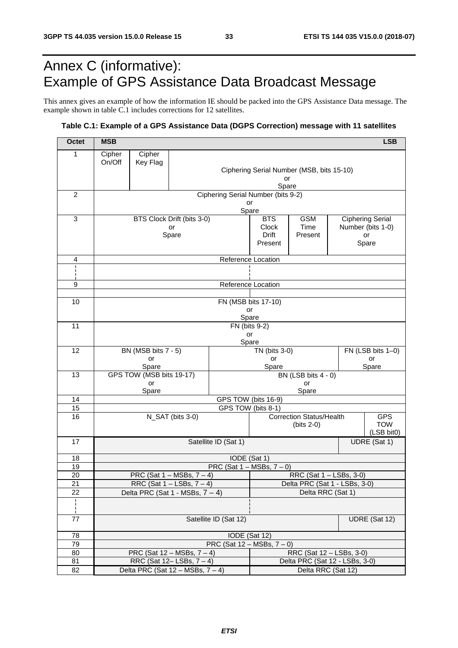# Annex C (informative): Example of GPS Assistance Data Broadcast Message

This annex gives an example of how the information IE should be packed into the GPS Assistance Data message. The example shown in table C.1 includes corrections for 12 satellites.

### **Table C.1: Example of a GPS Assistance Data (DGPS Correction) message with 11 satellites**

| <b>Octet</b>   | <b>MSB</b>                                                     |                           |                                        |                                                   |                               |                                               |  | <b>LSB</b>                           |
|----------------|----------------------------------------------------------------|---------------------------|----------------------------------------|---------------------------------------------------|-------------------------------|-----------------------------------------------|--|--------------------------------------|
| 1              | Cipher                                                         | Cipher                    |                                        |                                                   |                               |                                               |  |                                      |
|                | On/Off                                                         | Key Flag                  |                                        |                                                   |                               |                                               |  |                                      |
|                |                                                                |                           |                                        |                                                   | or                            | Ciphering Serial Number (MSB, bits 15-10)     |  |                                      |
|                |                                                                |                           |                                        |                                                   | Spare                         |                                               |  |                                      |
| $\overline{2}$ |                                                                |                           |                                        | Ciphering Serial Number (bits 9-2)                |                               |                                               |  |                                      |
|                |                                                                |                           |                                        | Spare                                             | or                            |                                               |  |                                      |
| 3              |                                                                |                           | BTS Clock Drift (bits 3-0)             |                                                   | <b>BTS</b>                    | <b>GSM</b>                                    |  | <b>Ciphering Serial</b>              |
|                |                                                                |                           | or                                     |                                                   | Clock                         | Time                                          |  | Number (bits 1-0)                    |
|                |                                                                |                           | Spare                                  |                                                   | <b>Drift</b><br>Present       | Present                                       |  | or                                   |
|                |                                                                |                           |                                        |                                                   |                               |                                               |  | Spare                                |
| $\overline{4}$ |                                                                |                           |                                        | Reference Location                                |                               |                                               |  |                                      |
|                |                                                                |                           |                                        |                                                   |                               |                                               |  |                                      |
| 9              |                                                                |                           |                                        | Reference Location                                |                               |                                               |  |                                      |
|                |                                                                |                           |                                        |                                                   |                               |                                               |  |                                      |
| 10             |                                                                |                           |                                        |                                                   | FN (MSB bits 17-10)           |                                               |  |                                      |
|                |                                                                |                           |                                        |                                                   | or<br>Spare                   |                                               |  |                                      |
| 11             |                                                                |                           |                                        | FN (bits 9-2)                                     |                               |                                               |  |                                      |
|                |                                                                |                           |                                        |                                                   | or                            |                                               |  |                                      |
|                |                                                                |                           |                                        | Spare                                             |                               |                                               |  |                                      |
| 12             |                                                                | BN (MSB bits 7 - 5)<br>or |                                        |                                                   | TN (bits 3-0)<br>or           |                                               |  | $\overline{FN}$ (LSB bits 1-0)<br>or |
|                |                                                                | Spare                     |                                        |                                                   | Spare                         |                                               |  | Spare                                |
| 13             |                                                                | GPS TOW (MSB bits 19-17)  |                                        |                                                   |                               | BN (LSB bits 4 - 0)                           |  |                                      |
|                |                                                                | or<br>Spare               |                                        |                                                   |                               | or<br>Spare                                   |  |                                      |
| 14             | GPS TOW (bits 16-9)                                            |                           |                                        |                                                   |                               |                                               |  |                                      |
| 15             |                                                                |                           |                                        | GPS TOW (bits 8-1)                                |                               |                                               |  |                                      |
| 16             |                                                                |                           | N_SAT (bits 3-0)                       |                                                   |                               | <b>Correction Status/Health</b><br>(bits 2-0) |  | <b>GPS</b><br><b>TOW</b>             |
|                |                                                                |                           |                                        |                                                   |                               |                                               |  | (LSB bit0)                           |
| 17             |                                                                |                           |                                        | Satellite ID (Sat 1)                              |                               |                                               |  | UDRE (Sat 1)                         |
| 18             | IODE (Sat 1)                                                   |                           |                                        |                                                   |                               |                                               |  |                                      |
| 19             |                                                                |                           |                                        | PRC (Sat $1 - MSBs$ , $7 - 0$ )                   |                               |                                               |  |                                      |
| 20             |                                                                |                           | PRC (Sat $1 - MSBs$ , $7 - 4$ )        |                                                   |                               | RRC (Sat 1 - LSBs, 3-0)                       |  |                                      |
| 21             |                                                                |                           | RRC (Sat $1 -$ LSBs, $7 - 4$ )         |                                                   | Delta PRC (Sat 1 - LSBs, 3-0) |                                               |  |                                      |
| 22             | Delta RRC (Sat 1)<br>Delta PRC (Sat $1 - \text{MSBs}, 7 - 4$ ) |                           |                                        |                                                   |                               |                                               |  |                                      |
| ł.<br>ł.       |                                                                |                           |                                        |                                                   |                               |                                               |  |                                      |
| 77             |                                                                |                           |                                        | Satellite ID (Sat 12)                             |                               |                                               |  | UDRE (Sat 12)                        |
|                |                                                                |                           |                                        |                                                   |                               |                                               |  |                                      |
| 78<br>79       |                                                                |                           |                                        | IODE (Sat 12)<br>PRC (Sat $12 - MSBs$ , $7 - 0$ ) |                               |                                               |  |                                      |
| 80             |                                                                |                           | PRC (Sat $12 - MSBs$ , $7 - 4$ )       |                                                   |                               | RRC (Sat 12 – LSBs, 3-0)                      |  |                                      |
| 81             |                                                                |                           | RRC (Sat $12 -$ LSBs, $7 - 4$ )        |                                                   |                               | Delta PRC (Sat 12 - LSBs, 3-0)                |  |                                      |
| 82             |                                                                |                           | Delta PRC (Sat $12 - MSBs$ , $7 - 4$ ) |                                                   |                               | Delta RRC (Sat 12)                            |  |                                      |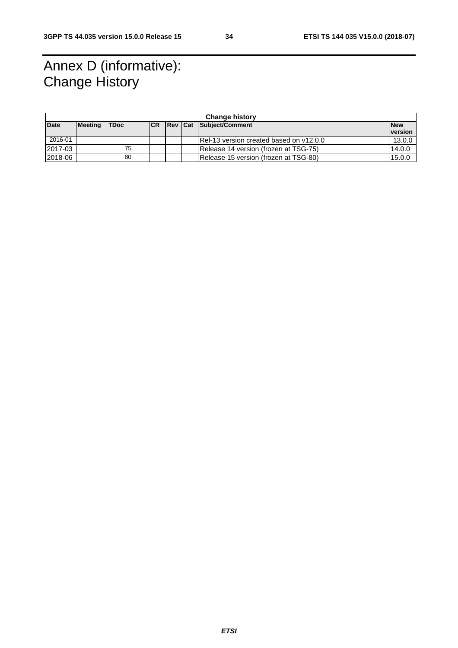# Annex D (informative): Change History

|              | <b>Change history</b> |             |            |  |  |                                          |                |  |
|--------------|-----------------------|-------------|------------|--|--|------------------------------------------|----------------|--|
| <b>Date</b>  | Meeting               | <b>TDoc</b> | <b>ICR</b> |  |  | <b>Rev Cat Subject/Comment</b>           | <b>New</b>     |  |
|              |                       |             |            |  |  |                                          | <b>version</b> |  |
| 2016-01      |                       |             |            |  |  | IRel-13 version created based on y12.0.0 | 13.0.0         |  |
| $12017 - 03$ |                       | 75          |            |  |  | Release 14 version (frozen at TSG-75)    | 14.0.0         |  |
| 2018-06      |                       | 80          |            |  |  | Release 15 version (frozen at TSG-80)    | 15.0.0         |  |